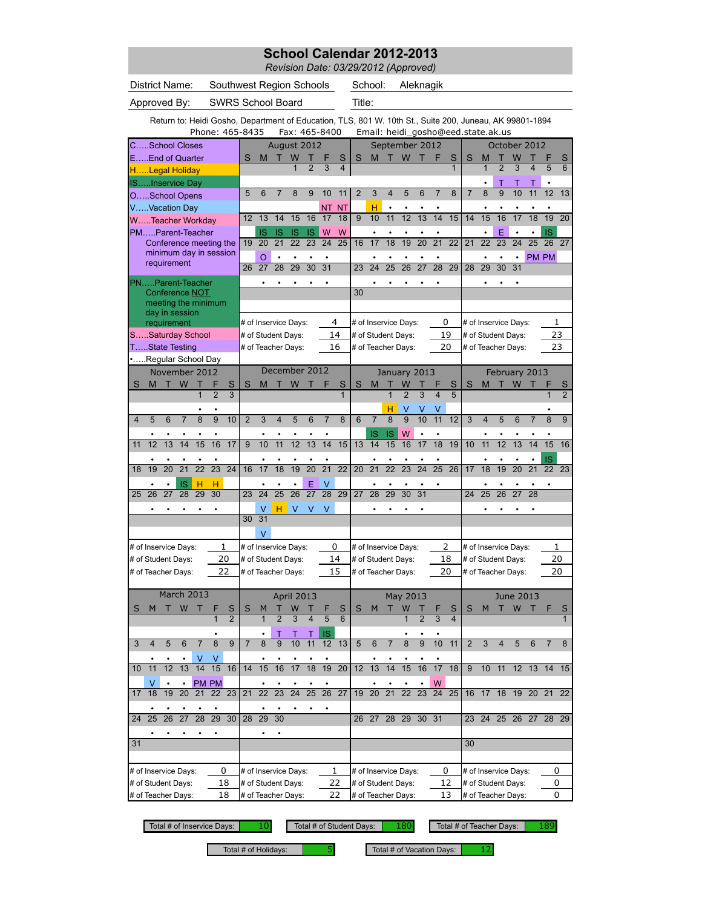*Revision Date: 03/29/2012 (Approved)*

District Name: Southwest Region Schools School:

School: Aleknagik

Approved By: SWRS School Board Title:

Return to: Heidi Gosho, Department of Education, TLS, 801 W. 10th St., Suite 200, Juneau, AK 99801-1894

|                           |                      |           |                               | Phone: 465-8435        |                 |                     |                |                 |                          |                 |                      | Fax: 465-8400        |                 |                |                      |                       |                     |                 |                      |                              |                 | Email: heidi_gosho@eed.state.ak.us |                 |                  |                         |                       |                     |
|---------------------------|----------------------|-----------|-------------------------------|------------------------|-----------------|---------------------|----------------|-----------------|--------------------------|-----------------|----------------------|----------------------|-----------------|----------------|----------------------|-----------------------|---------------------|-----------------|----------------------|------------------------------|-----------------|------------------------------------|-----------------|------------------|-------------------------|-----------------------|---------------------|
|                           | CSchool Closes       |           |                               |                        |                 |                     |                |                 | August 2012              |                 |                      |                      |                 |                |                      |                       |                     | September 2012  |                      |                              |                 |                                    |                 | October 2012     |                         |                       |                     |
|                           | EEnd of Quarter      |           |                               |                        |                 |                     | S              | M               | т                        | W               |                      |                      | S               | S              | M                    | т                     | W                   |                 | F                    | S                            | S               | М                                  |                 | W                |                         |                       | S                   |
|                           | HLegal Holiday       |           |                               |                        |                 |                     |                |                 |                          |                 |                      | 3                    | 4               |                |                      |                       |                     |                 |                      | $\overline{1}$               |                 | 1                                  | $\overline{2}$  | 3                | $\overline{\mathbf{4}}$ | 5                     | 6                   |
|                           | ISInservice Day      |           |                               |                        |                 |                     |                |                 |                          |                 |                      |                      |                 |                |                      |                       |                     |                 |                      |                              |                 |                                    | Т               |                  |                         |                       |                     |
|                           | OSchool Opens        |           |                               |                        |                 |                     | 5              | 6               |                          | 8               | 9                    | 10                   | 11              | $\overline{2}$ | 3                    | $\overline{4}$        | 5                   | 6               | $\overline{7}$       | 8                            | $\overline{7}$  | $\overline{8}$                     | $\overline{9}$  | 10               | 11                      | $\overline{12}$       | $\overline{13}$     |
|                           | VVacation Day        |           |                               |                        |                 |                     |                |                 |                          |                 |                      | <b>NT</b>            | <b>NT</b>       |                | н                    |                       |                     |                 |                      |                              |                 |                                    |                 |                  |                         |                       |                     |
|                           | WTeacher Workday     |           |                               |                        |                 |                     | 12             | 13              | 14                       | 15              | 16                   | 17                   | 18              | 9              | 10                   | 11                    | 12                  | 13              | 14                   | 15                           | 14              | 15                                 | 16              | 17               | 18                      | 19                    | 20                  |
|                           | PMParent-Teacher     |           |                               |                        |                 |                     |                | IS              | IS                       | IS              | IS                   | W                    | W               |                | $\bullet$            |                       |                     |                 |                      |                              |                 |                                    | E               |                  |                         | IS                    |                     |
|                           |                      |           |                               | Conference meeting the |                 |                     | 19             | $\overline{20}$ | $\overline{21}$          | 22              | $\overline{23}$      | $\overline{24}$      | $\overline{25}$ | 16             | 17                   | $\overline{18}$       | 19                  | $\overline{20}$ | $\overline{21}$      | $\overline{22}$              | $\overline{21}$ | $\overline{22}$                    | $\overline{23}$ | 24               | $\overline{25}$         | 26                    | 27                  |
|                           |                      |           |                               | minimum day in session |                 |                     |                | O               |                          |                 |                      |                      |                 |                |                      |                       |                     |                 |                      |                              |                 |                                    |                 | $\bullet$        |                         | PM PM                 |                     |
|                           | requirement          |           |                               |                        |                 |                     | 26             | 27              | 28                       | 29              | $\overline{30}$      | 31                   |                 | 23             | $\overline{24}$      | $\overline{25}$       | $\overline{26}$     | 27              | $\overline{28}$      | 29                           | 28              | 29                                 | 30              | 31               |                         |                       |                     |
|                           | PNParent-Teacher     |           |                               |                        |                 |                     |                |                 |                          | ٠               |                      | ٠                    |                 |                |                      |                       |                     |                 |                      |                              |                 |                                    |                 | ٠                |                         |                       |                     |
|                           |                      |           |                               | Conference NOT         |                 |                     |                |                 |                          |                 |                      |                      |                 | 30             |                      |                       |                     |                 |                      |                              |                 |                                    |                 |                  |                         |                       |                     |
|                           |                      |           |                               | meeting the minimum    |                 |                     |                |                 |                          |                 |                      |                      |                 |                |                      |                       |                     |                 |                      |                              |                 |                                    |                 |                  |                         |                       |                     |
|                           |                      |           | day in session<br>requirement |                        |                 |                     |                |                 | # of Inservice Days:     |                 |                      |                      | 4               |                | # of Inservice Days: |                       |                     |                 | 0                    |                              |                 | # of Inservice Days:               |                 |                  |                         | 1                     |                     |
|                           | SSaturday School     |           |                               |                        |                 |                     |                |                 | # of Student Days:       |                 |                      |                      | 14              |                | # of Student Days:   |                       |                     |                 | 19                   |                              |                 | # of Student Days:                 |                 |                  |                         | 23                    |                     |
|                           | TState Testing       |           |                               |                        |                 |                     |                |                 | # of Teacher Days:       |                 |                      |                      | 16              |                | # of Teacher Days:   |                       |                     |                 | 20                   |                              |                 | # of Teacher Days:                 |                 |                  |                         | 23                    |                     |
|                           | Regular School Day   |           |                               |                        |                 |                     |                |                 |                          |                 |                      |                      |                 |                |                      |                       |                     |                 |                      |                              |                 |                                    |                 |                  |                         |                       |                     |
|                           |                      |           |                               | November 2012          |                 |                     |                |                 | December 2012            |                 |                      |                      |                 |                |                      |                       |                     | January 2013    |                      |                              |                 |                                    |                 | February 2013    |                         |                       |                     |
| S                         | M                    | т         | W                             | Т                      | F               | S                   | S              | M               | т                        | W               |                      |                      | S               | S              | M                    |                       | W                   |                 |                      |                              | S               | м                                  | т               | W                |                         |                       |                     |
|                           |                      |           |                               |                        | $\overline{2}$  | 3                   |                |                 |                          |                 |                      |                      | 1               |                |                      | $\overline{1}$        | $\overline{2}$      | $\overline{3}$  |                      | S<br>$\overline{5}$          |                 |                                    |                 |                  |                         |                       | S<br>$\overline{2}$ |
|                           |                      |           |                               |                        |                 |                     |                |                 |                          |                 |                      |                      |                 |                |                      |                       |                     |                 |                      |                              |                 |                                    |                 |                  |                         |                       |                     |
| 4                         | 5                    | 6         |                               | 8                      | $\overline{9}$  | 10                  | $\overline{2}$ | 3               | 4                        | 5               | 6                    | 7                    | 8               | $6\phantom{1}$ | $\overline{7}$       | н<br>8                | ٧<br>$\overline{9}$ | 10              | 11                   | $\overline{12}$              | 3               | 4                                  | 5               | 6                |                         | 8                     | 9                   |
|                           |                      |           |                               |                        |                 |                     |                |                 |                          |                 |                      |                      |                 |                |                      |                       |                     |                 |                      |                              |                 |                                    |                 |                  |                         |                       |                     |
| 11                        | $\overline{12}$      | 13        | 14                            | 15                     | ٠<br>16         | $\overline{17}$     | $\overline{9}$ | $\overline{10}$ | 11                       | $\overline{12}$ | 13                   | $\overline{14}$      | 15              | 13             | IS<br>14             | IS<br>$\overline{15}$ | W<br>16             | ٠<br>17         | ٠<br>$\overline{18}$ | 19                           | 10              | $\overline{11}$                    | $\overline{12}$ | $\overline{13}$  | 14                      | ٠<br>15               | 16                  |
|                           |                      |           |                               |                        |                 |                     |                |                 |                          |                 |                      |                      |                 |                |                      |                       |                     |                 |                      |                              |                 |                                    |                 |                  |                         |                       |                     |
| 18                        | 19                   | 20        | 21                            | 22                     | $\overline{23}$ | 24                  | 16             | 17              | $\overline{18}$          | 19              | 20                   | $\overline{21}$      | 22              | 20             | $\overline{21}$      | $\overline{22}$       | 23                  | 24              | $\overline{25}$      | 26                           | 17              | 18                                 | 19              | $\overline{20}$  | 21                      | IS<br>$\overline{22}$ | 23                  |
|                           |                      |           |                               |                        |                 |                     |                |                 |                          |                 |                      |                      |                 |                |                      |                       |                     |                 |                      |                              |                 |                                    |                 |                  |                         |                       |                     |
| 25                        | 26                   | 27        | IS<br>28                      | Η<br>29                | н<br>30         |                     | 23             | 24              | 25                       | $\overline{26}$ | E<br>$\overline{27}$ | ٧<br>$\overline{28}$ | 29              | 27             | 28                   | 29                    | 30                  | 31              |                      |                              | 24              | 25                                 | 26              | 27               | 28                      |                       |                     |
|                           |                      |           |                               |                        |                 |                     |                |                 |                          |                 |                      |                      |                 |                |                      |                       |                     |                 |                      |                              |                 |                                    |                 |                  |                         |                       |                     |
|                           |                      |           |                               |                        |                 |                     | 30             | V<br>31         | н                        | V               | V                    | V                    |                 |                | $\bullet$            |                       | ٠                   |                 |                      |                              |                 |                                    | ٠               |                  |                         |                       |                     |
|                           |                      |           |                               |                        |                 |                     |                |                 |                          |                 |                      |                      |                 |                |                      |                       |                     |                 |                      |                              |                 |                                    |                 |                  |                         |                       |                     |
|                           |                      |           |                               |                        |                 |                     |                | V               |                          |                 |                      |                      |                 |                |                      |                       |                     |                 |                      |                              |                 |                                    |                 |                  |                         |                       |                     |
|                           | # of Inservice Days: |           |                               |                        | 1               |                     |                |                 | # of Inservice Days:     |                 |                      |                      | 0               |                | # of Inservice Days: |                       |                     |                 |                      | $\overline{2}$               |                 | # of Inservice Days:               |                 |                  |                         | 1                     |                     |
|                           | # of Student Days:   |           |                               |                        | 20              |                     |                |                 | # of Student Days:       |                 |                      |                      | 14              |                | # of Student Days:   |                       |                     |                 | 18                   |                              |                 | # of Student Days:                 |                 |                  |                         | 20                    |                     |
|                           | # of Teacher Days:   |           |                               |                        |                 | 22                  |                |                 | # of Teacher Days:       |                 |                      |                      | 15              |                | # of Teacher Days:   |                       |                     |                 |                      | 20                           |                 | # of Teacher Days:                 |                 |                  |                         | 20                    |                     |
|                           |                      |           |                               |                        |                 |                     |                |                 |                          |                 |                      |                      |                 |                |                      |                       |                     |                 |                      |                              |                 |                                    |                 |                  |                         |                       |                     |
|                           |                      |           |                               | March 2013             |                 |                     |                |                 |                          | April 2013      |                      |                      |                 |                |                      |                       | May 2013            |                 |                      |                              |                 |                                    |                 | <b>June 2013</b> |                         |                       |                     |
| S                         | м                    |           |                               |                        |                 | S<br>$\overline{2}$ | S              | M               | $\overline{\mathcal{L}}$ | 3               | 4                    | 5                    | S<br>6          | S              | м                    |                       | W                   |                 | 3                    | S<br>$\overline{\mathbf{4}}$ | S               | M                                  |                 | W                |                         |                       | S<br>$\mathbf{1}$   |
|                           |                      |           |                               |                        |                 |                     |                |                 |                          |                 |                      |                      |                 |                |                      |                       |                     |                 |                      |                              |                 |                                    |                 |                  |                         |                       |                     |
|                           |                      |           |                               |                        |                 |                     |                |                 | Т                        | Τ               | т                    | IS                   |                 |                |                      |                       |                     |                 |                      |                              |                 |                                    |                 |                  |                         |                       |                     |
|                           |                      |           | 6                             |                        |                 |                     |                |                 | 9                        | 10              | 11                   | 12                   | 13              | 5              | 6                    |                       | ୪                   | 9               | 10                   | 11                           |                 | 3                                  |                 |                  | 6                       |                       | ୪                   |
|                           |                      |           |                               |                        | V               |                     |                |                 |                          |                 |                      |                      |                 |                |                      |                       |                     |                 |                      |                              |                 |                                    |                 |                  |                         |                       |                     |
| 10                        | 11                   | 12        | 13                            | 14                     | 15              | 16                  | 14             | 15              | 16                       | 17              | 18                   | 19                   | 20              | 12             | 13                   | 14                    | 15                  | 16              | 17                   | 18                           | 9               | 10                                 | 11              |                  | 12 13                   | 14                    | 15                  |
|                           | ٧                    | $\bullet$ | $\bullet$                     |                        | PM PM           |                     |                |                 |                          | ٠               |                      |                      |                 |                |                      |                       |                     |                 | W                    |                              |                 |                                    |                 |                  |                         |                       |                     |
| 17                        | 18                   | 19        | 20                            | 21                     | 22              | 23                  | 21             | 22              | 23                       | 24              | 25                   | $\overline{26}$      | 27              | 19             | 20                   | 21                    | 22                  | 23              | 24                   | 25                           | 16              | 17                                 | 18              | 19               | 20                      | 21                    | 22                  |
|                           |                      |           |                               |                        |                 |                     |                |                 |                          |                 |                      |                      |                 |                |                      |                       |                     |                 |                      |                              |                 |                                    |                 |                  |                         |                       |                     |
| 24                        | 25                   | 26        | 27                            | 28                     | $\overline{29}$ | 30                  |                | 28 29           | 30                       |                 |                      |                      |                 | 26             |                      |                       |                     | 27 28 29 30 31  |                      |                              | 23              | 24                                 |                 | 25 26 27         |                         | 28 29                 |                     |
|                           |                      |           |                               |                        |                 |                     |                |                 | ٠                        |                 |                      |                      |                 |                |                      |                       |                     |                 |                      |                              |                 |                                    |                 |                  |                         |                       |                     |
| 31                        |                      |           |                               |                        |                 |                     |                |                 |                          |                 |                      |                      |                 |                |                      |                       |                     |                 |                      |                              | 30              |                                    |                 |                  |                         |                       |                     |
|                           |                      |           |                               |                        |                 |                     |                |                 |                          |                 |                      |                      |                 |                |                      |                       |                     |                 |                      |                              |                 |                                    |                 |                  |                         |                       |                     |
| 0<br># of Inservice Days: |                      |           |                               |                        |                 |                     |                |                 | # of Inservice Days:     |                 |                      |                      | 1               |                | # of Inservice Days: |                       |                     |                 | 0                    |                              |                 | # of Inservice Days:               |                 |                  |                         | 0                     |                     |
| # of Student Days:<br>18  |                      |           |                               |                        |                 |                     |                |                 | # of Student Days:       |                 |                      |                      | 22              |                | # of Student Days:   |                       |                     |                 |                      | 12                           |                 | # of Student Days:                 |                 |                  |                         | 0                     |                     |
| 18<br># of Teacher Days:  |                      |           |                               |                        |                 |                     |                |                 | # of Teacher Days:       |                 |                      |                      | 22              |                | # of Teacher Days:   |                       |                     |                 |                      | 13                           |                 | # of Teacher Days:                 |                 |                  |                         | 0                     |                     |

Total # of Inservice Days: 10 Total # of Student Days: 180

Total # of Teacher Days: 189

Total # of Holidays:  $\begin{array}{|c|c|c|c|c|}\n\hline\n5 & \text{Total # of vacation Days} & 12\n\end{array}$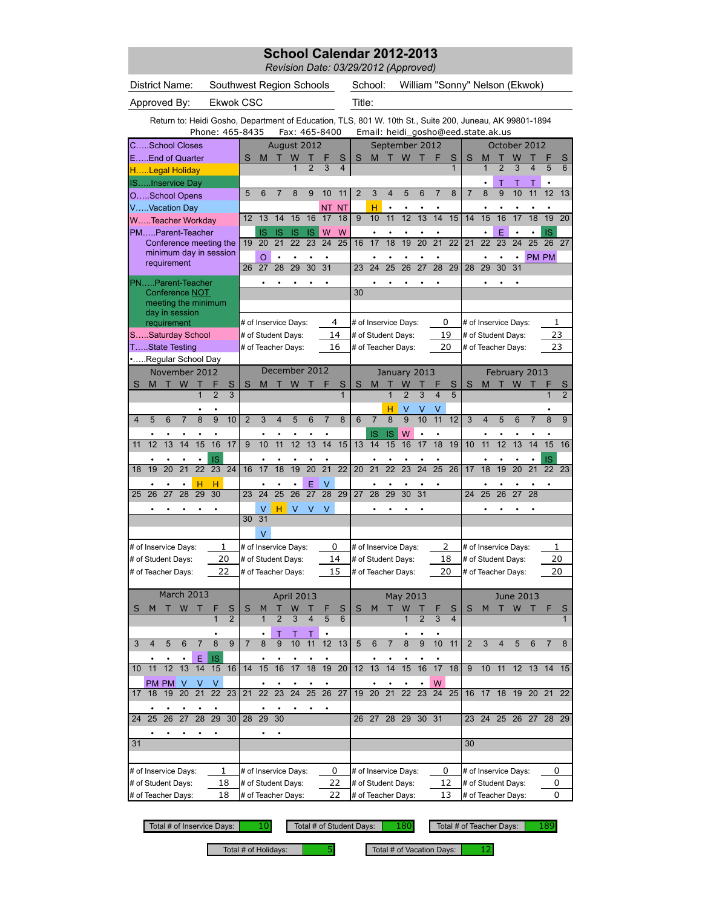*Revision Date: 03/29/2012 (Approved)*

|                                                |    | District Name:                        |                 |                 |                       |                 | Southwest Region Schools |                      |                 |                 |                 |                      |                 |                 | School:         |                 |                                    |                 |                              |                 |                |                 |                 | William "Sonny" Nelson (Ekwok)                                                                          |                 |                       |                 |
|------------------------------------------------|----|---------------------------------------|-----------------|-----------------|-----------------------|-----------------|--------------------------|----------------------|-----------------|-----------------|-----------------|----------------------|-----------------|-----------------|-----------------|-----------------|------------------------------------|-----------------|------------------------------|-----------------|----------------|-----------------|-----------------|---------------------------------------------------------------------------------------------------------|-----------------|-----------------------|-----------------|
| Approved By:                                   |    |                                       |                 |                 |                       |                 | <b>Ekwok CSC</b>         |                      |                 |                 |                 |                      |                 | Title:          |                 |                 |                                    |                 |                              |                 |                |                 |                 |                                                                                                         |                 |                       |                 |
|                                                |    |                                       |                 |                 |                       |                 |                          |                      |                 |                 |                 |                      |                 |                 |                 |                 |                                    |                 |                              |                 |                |                 |                 |                                                                                                         |                 |                       |                 |
|                                                |    |                                       |                 |                 | Phone: 465-8435       |                 |                          |                      |                 |                 |                 | Fax: 465-8400        |                 |                 |                 |                 | Email: heidi_gosho@eed.state.ak.us |                 |                              |                 |                |                 |                 | Return to: Heidi Gosho, Department of Education, TLS, 801 W. 10th St., Suite 200, Juneau, AK 99801-1894 |                 |                       |                 |
| CSchool Closes                                 |    |                                       |                 |                 |                       |                 |                          |                      | August 2012     |                 |                 |                      |                 |                 |                 |                 | September 2012                     |                 |                              |                 |                |                 |                 | October 2012                                                                                            |                 |                       |                 |
| EEnd of Quarter                                |    |                                       |                 |                 |                       |                 | S                        | M                    | т               | W               |                 | F                    | S               | S               | M               | т               | W                                  | т               | F                            | S               | S              | M               | Т               | W                                                                                                       |                 | F                     | S               |
| HLegal Holiday                                 |    |                                       |                 |                 |                       |                 |                          |                      |                 | $\mathbf{1}$    | $\overline{2}$  | 3                    | 4               |                 |                 |                 |                                    |                 |                              | $\mathbf{1}$    |                | $\mathbf{1}$    | $\overline{2}$  | 3                                                                                                       | $\overline{4}$  | 5                     | 6               |
| ISInservice Day                                |    |                                       |                 |                 |                       |                 |                          |                      |                 |                 |                 |                      |                 |                 |                 |                 |                                    |                 |                              |                 |                |                 | Т               | Т                                                                                                       |                 |                       |                 |
|                                                |    | OSchool Opens                         |                 |                 |                       |                 | 5                        | 6                    | $\overline{7}$  | 8               | 9               | 10                   | 11              | $\overline{2}$  | 3               | $\overline{4}$  | 5                                  | 6               | $\overline{7}$               | 8               | $\overline{7}$ | 8               | $\overline{9}$  | 10                                                                                                      | 11              | 12                    | 13              |
| VVacation Day                                  |    |                                       |                 |                 |                       |                 |                          |                      |                 |                 |                 | <b>NT</b>            | <b>NT</b>       |                 | н               |                 |                                    |                 |                              |                 |                |                 |                 |                                                                                                         |                 |                       |                 |
| WTeacher Workday                               |    |                                       |                 |                 |                       |                 | 12                       | 13                   | 14              | 15              | 16              | 17                   | 18              | 9               | 10              | 11              | 12                                 | $\overline{13}$ | 14                           | 15              | 14             | 15              | 16              | 17                                                                                                      | 18              | 19                    | $\overline{20}$ |
| PMParent-Teacher                               |    |                                       |                 |                 |                       |                 |                          | IS                   | IS              | IS              | IS              | W                    | W               |                 |                 |                 |                                    |                 |                              |                 |                |                 | Ë               |                                                                                                         |                 | IS                    |                 |
|                                                |    | Conference meeting the                |                 |                 |                       |                 | 19                       | 20                   | 21              | 22              | 23              | 24                   | 25              | 16              | 17              | 18              | 19                                 | $\overline{20}$ | $\overline{21}$              | $\overline{22}$ | 21             | 22              | $\overline{23}$ | $\overline{24}$                                                                                         | $\overline{25}$ | 26                    | 27              |
|                                                |    | minimum day in session<br>requirement |                 |                 |                       |                 |                          | O                    |                 |                 |                 |                      |                 |                 |                 |                 |                                    |                 |                              |                 |                |                 |                 |                                                                                                         |                 | PM PM                 |                 |
|                                                |    |                                       |                 |                 |                       |                 | 26                       | 27                   | 28              | 29              | 30              | $\overline{31}$      |                 | 23              | 24              | 25              | 26                                 | 27              | $\overline{28}$              | 29              | 28             | 29              | 30              | 31                                                                                                      |                 |                       |                 |
| PNParent-Teacher                               |    |                                       |                 |                 |                       |                 |                          |                      |                 |                 |                 |                      |                 |                 |                 |                 |                                    |                 |                              |                 |                |                 |                 |                                                                                                         |                 |                       |                 |
|                                                |    | Conference NOT                        |                 |                 |                       |                 |                          |                      |                 |                 |                 |                      |                 | 30              |                 |                 |                                    |                 |                              |                 |                |                 |                 |                                                                                                         |                 |                       |                 |
|                                                |    | meeting the minimum<br>day in session |                 |                 |                       |                 |                          |                      |                 |                 |                 |                      |                 |                 |                 |                 |                                    |                 |                              |                 |                |                 |                 |                                                                                                         |                 |                       |                 |
|                                                |    | requirement                           |                 |                 |                       |                 |                          | # of Inservice Days: |                 |                 |                 |                      | 4               |                 |                 |                 | # of Inservice Days:               |                 | 0                            |                 |                |                 |                 | # of Inservice Days:                                                                                    |                 |                       | 1               |
|                                                |    | SSaturday School                      |                 |                 |                       |                 |                          | # of Student Days:   |                 |                 |                 |                      | 14              |                 |                 |                 | # of Student Days:                 |                 | 19                           |                 |                |                 |                 | # of Student Days:                                                                                      |                 | 23                    |                 |
|                                                |    | TState Testing                        |                 |                 |                       |                 |                          | # of Teacher Days:   |                 |                 |                 |                      | 16              |                 |                 |                 | # of Teacher Days:                 |                 | 20                           |                 |                |                 |                 | # of Teacher Days:                                                                                      |                 |                       | 23              |
|                                                |    | Regular School Day                    |                 |                 |                       |                 |                          |                      |                 |                 |                 |                      |                 |                 |                 |                 |                                    |                 |                              |                 |                |                 |                 |                                                                                                         |                 |                       |                 |
|                                                |    | November 2012                         |                 |                 |                       |                 |                          |                      | December 2012   |                 |                 |                      |                 |                 |                 |                 | January 2013                       |                 |                              |                 |                |                 |                 | February 2013                                                                                           |                 |                       |                 |
| S                                              | M  | т                                     | W               | т               |                       | S               | S                        | M                    | т               | W               |                 | F                    | S               | S               | M               | т               | W                                  |                 |                              | S               | S              | M               | т               | W                                                                                                       |                 |                       | S               |
|                                                |    |                                       |                 | 1               | $\overline{2}$        | $\overline{3}$  |                          |                      |                 |                 |                 |                      | $\mathbf{1}$    |                 |                 | 1               | $\overline{2}$                     | 3               | $\overline{\mathbf{4}}$      | 5               |                |                 |                 |                                                                                                         |                 | 1                     | $\overline{2}$  |
|                                                |    |                                       |                 |                 |                       |                 |                          |                      |                 |                 |                 |                      |                 |                 |                 | н               | ٧                                  |                 | ٧                            |                 |                |                 |                 |                                                                                                         |                 |                       |                 |
| $\overline{4}$                                 | 5  | 6                                     | $\overline{7}$  | 8               | 9                     | 10              | $\overline{2}$           | 3                    | 4               | 5               | 6               | $\overline{7}$       | 8               | 6               | $\overline{7}$  | $\overline{8}$  | 9                                  | 10              | 11                           | $\overline{12}$ | 3              | 4               | 5               | 6                                                                                                       | $\overline{7}$  | 8                     | 9               |
|                                                |    |                                       |                 |                 |                       |                 |                          |                      |                 |                 |                 |                      |                 |                 | IS              | IS              | W                                  | $\bullet$       | $\bullet$                    |                 |                |                 |                 |                                                                                                         |                 |                       |                 |
| 11                                             | 12 | 13                                    | 14              | 15              | 16                    | 17              | $\overline{9}$           | 10                   | 11              | $\overline{12}$ | 13              | $\overline{14}$      | 15              | 13              | 14              | 15              | 16                                 | 17              | 18                           | 19              | 10             | $\overline{11}$ | $\overline{12}$ | $\overline{13}$                                                                                         | 14              | 15                    | 16              |
|                                                | 19 |                                       | $\overline{21}$ | $\overline{22}$ | IS<br>$\overline{23}$ | $\overline{24}$ |                          | ٠                    | $\overline{18}$ | 19              | 20              | $\overline{21}$      | $\overline{22}$ |                 | $\overline{21}$ | $\overline{22}$ | 23                                 | 24              | $\bullet$<br>$\overline{25}$ | 26              |                |                 | ٠<br>19         | $\overline{20}$                                                                                         | $\overline{21}$ | IS<br>$\overline{22}$ |                 |
| 18                                             |    | 20                                    |                 |                 |                       |                 | 16                       | 17                   |                 |                 |                 |                      |                 | 20              |                 |                 |                                    |                 |                              |                 | 17             | 18              |                 |                                                                                                         |                 |                       | 23              |
| 25                                             | 26 | 27                                    | 28              | н<br>29         | н<br>30               |                 | 23                       | ٠<br>24              | 25              | ٠<br>26         | E<br>27         | ٧<br>$\overline{28}$ | 29              | $\overline{27}$ | 28              | 29              | 30                                 | $\overline{31}$ |                              |                 | 24             | 25              | 26              | 27                                                                                                      | 28              | ٠                     |                 |
|                                                |    |                                       |                 |                 |                       |                 |                          |                      |                 |                 |                 |                      |                 |                 |                 |                 |                                    |                 |                              |                 |                |                 |                 |                                                                                                         |                 |                       |                 |
|                                                |    |                                       |                 |                 |                       |                 | 30                       | V<br>31              | н               | V               | $\vee$          | v                    |                 |                 |                 |                 |                                    |                 |                              |                 |                |                 |                 |                                                                                                         |                 |                       |                 |
|                                                |    |                                       |                 |                 |                       |                 |                          | V                    |                 |                 |                 |                      |                 |                 |                 |                 |                                    |                 |                              |                 |                |                 |                 |                                                                                                         |                 |                       |                 |
|                                                |    |                                       |                 |                 |                       |                 |                          |                      |                 |                 |                 |                      |                 |                 |                 |                 |                                    |                 |                              |                 |                |                 |                 |                                                                                                         |                 |                       |                 |
| # of Inservice Days:                           |    |                                       |                 |                 |                       | 1<br>20         |                          | # of Inservice Days: |                 |                 |                 |                      | 0<br>14         |                 |                 |                 | # of Inservice Days:               |                 | 2<br>18                      |                 |                |                 |                 | # of Inservice Days:                                                                                    |                 |                       | 1<br>20         |
| # of Student Days:                             |    |                                       |                 |                 |                       | 22              |                          | # of Student Days:   |                 |                 |                 |                      | 15              |                 |                 |                 | # of Student Days:                 |                 | 20                           |                 |                |                 |                 | # of Student Days:                                                                                      |                 | 20                    |                 |
| # of Teacher Days:                             |    |                                       |                 |                 |                       |                 |                          | # of Teacher Days:   |                 |                 |                 |                      |                 |                 |                 |                 | # of Teacher Days:                 |                 |                              |                 |                |                 |                 | # of Teacher Days:                                                                                      |                 |                       |                 |
|                                                |    | March 2013                            |                 |                 |                       |                 |                          |                      |                 | April 2013      |                 |                      |                 |                 |                 |                 | May 2013                           |                 |                              |                 |                |                 |                 | June 2013                                                                                               |                 |                       |                 |
| S                                              | M  | т                                     | W               |                 |                       | S               | S                        | M                    | т               | W               |                 |                      | S               | S               | M               | ш               | W                                  | т               |                              | S               | S              | M               | Т               | W                                                                                                       | -т              |                       | S               |
|                                                |    |                                       |                 |                 | $\overline{1}$        | $\overline{2}$  |                          | $\mathbf{1}$         | $\overline{2}$  | 3               | $\overline{4}$  | 5                    | 6               |                 |                 |                 | $\mathbf{1}$                       | $\overline{2}$  | 3                            | $\overline{4}$  |                |                 |                 |                                                                                                         |                 |                       | $\mathbf{1}$    |
|                                                |    |                                       |                 |                 |                       |                 |                          | $\bullet$            | Τ               | т               | т               |                      |                 |                 |                 |                 | ٠                                  |                 |                              |                 |                |                 |                 |                                                                                                         |                 |                       |                 |
| 3                                              | 4  | 5                                     | 6               | $\overline{7}$  | 8                     | 9               | $\overline{7}$           | 8                    | 9               | 10              | 11              | 12                   | 13              | 5               | 6               | 7               | 8                                  | 9               | 10                           | 11              | $\overline{2}$ | 3               | 4               | 5                                                                                                       | 6               | 7                     | 8               |
|                                                |    |                                       |                 | Ε               | IS                    |                 |                          |                      |                 |                 |                 |                      |                 |                 |                 |                 |                                    |                 |                              |                 |                |                 |                 |                                                                                                         |                 |                       |                 |
| 10                                             | 11 | 12                                    | 13              | 14              | 15                    | 16              | 14                       | 15                   | 16              | 17              | 18              | 19                   | 20              | 12              | 13              | 14              | 15                                 | 16              | 17                           | 18              | 9              | 10              | 11              |                                                                                                         | 12 13 14        |                       | 15              |
|                                                |    | PM PM                                 | V               | v               | v                     |                 |                          |                      |                 |                 |                 |                      |                 |                 |                 |                 |                                    |                 | W                            |                 |                |                 |                 |                                                                                                         |                 |                       |                 |
| 17                                             | 18 | 19                                    | $\overline{20}$ | $\overline{21}$ | 22                    | 23              | 21                       | $\overline{22}$      | $\overline{23}$ | $\overline{24}$ | $\overline{25}$ | $\overline{26}$      | $\overline{27}$ | 19              | 20              | $\overline{21}$ | $\overline{22}$                    | $\overline{23}$ | 24                           | 25              | 16             | 17 18           |                 |                                                                                                         | 19 20 21        |                       | 22              |
|                                                |    |                                       |                 |                 |                       |                 |                          |                      |                 |                 |                 |                      |                 |                 |                 |                 |                                    |                 |                              |                 |                |                 |                 |                                                                                                         |                 |                       |                 |
| 24                                             | 25 | 26                                    | 27              | 28              | 29                    | 30              | 28                       | 29                   | 30              |                 |                 |                      |                 |                 | 26 27           | 28              | 29                                 | 30              | 31                           |                 | 23             |                 | 24 25           |                                                                                                         | 26 27           | 28                    | 29              |
|                                                |    |                                       |                 |                 |                       |                 |                          | $\bullet$            | $\bullet$       |                 |                 |                      |                 |                 |                 |                 |                                    |                 |                              |                 |                |                 |                 |                                                                                                         |                 |                       |                 |
| 31                                             |    |                                       |                 |                 |                       |                 |                          |                      |                 |                 |                 |                      |                 |                 |                 |                 |                                    |                 |                              |                 | 30             |                 |                 |                                                                                                         |                 |                       |                 |
|                                                |    |                                       |                 |                 |                       |                 |                          |                      |                 |                 |                 |                      |                 |                 |                 |                 |                                    |                 |                              |                 |                |                 |                 |                                                                                                         |                 |                       |                 |
|                                                |    | # of Inservice Days:                  |                 |                 |                       | 1               |                          | # of Inservice Days: |                 |                 |                 |                      | 0               |                 |                 |                 | # of Inservice Days:               |                 | 0                            |                 |                |                 |                 | # of Inservice Days:                                                                                    |                 |                       | 0               |
|                                                |    |                                       |                 |                 |                       | 18              |                          | # of Student Days:   |                 |                 |                 |                      | 22              |                 |                 |                 | # of Student Days:                 |                 | 12                           |                 |                |                 |                 | # of Student Days:                                                                                      |                 |                       | 0               |
| # of Student Days:<br># of Teacher Days:<br>18 |    |                                       |                 |                 |                       |                 |                          | # of Teacher Days:   |                 |                 |                 |                      | 22              |                 |                 |                 | # of Teacher Days:                 |                 | 13                           |                 |                |                 |                 | # of Teacher Days:                                                                                      |                 |                       | 0               |

Total # of Inservice Days: Total # of Student Days: Total # of Teacher Days:

10 Total # of Student Days: 180 Total # of Teacher Days: 189

Total # of Holidays:  $\begin{array}{|l|l|} \hline \end{array}$  5 Total # of Vacation Days: 12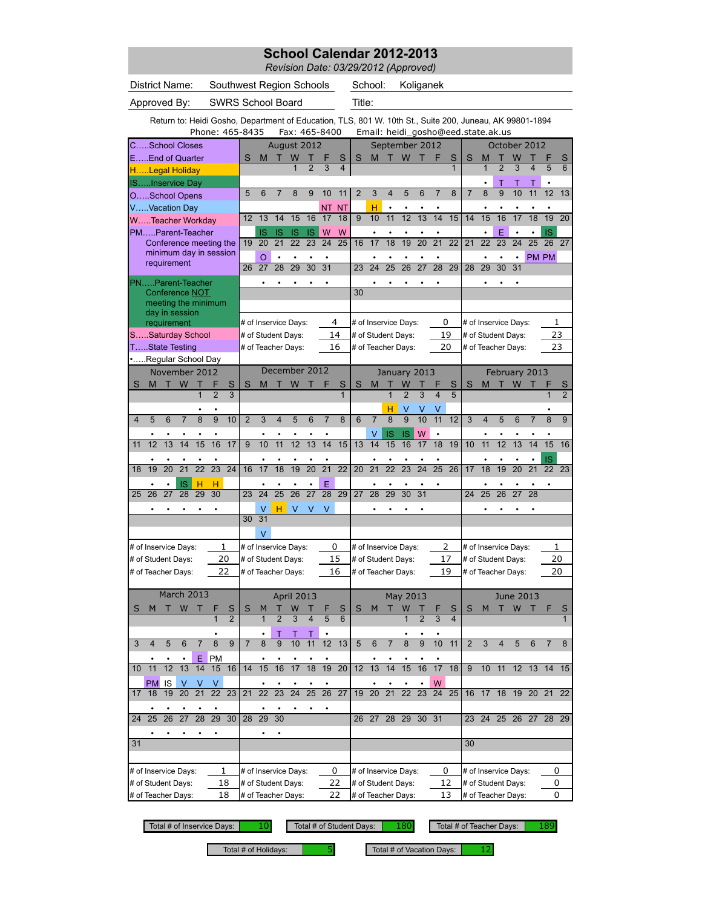*Revision Date: 03/29/2012 (Approved)*

| District Name: | Southwest Region Schools | School: | Koliganek |
|----------------|--------------------------|---------|-----------|
|                |                          |         |           |

Approved By: SWRS School Board Title:

Return to: Heidi Gosho, Department of Education, TLS, 801 W. 10th St., Suite 200, Juneau, AK 99801-1894

|                           |                          |                 |                                                  |                 | Phone: 465-8435 |                     |                |                       |                       |                 |                       | Fax: 465-8400   |                      |                |                      |                 |                     |                 |                 |                         |                 | Email: heidi_gosho@eed.state.ak.us |                      |                  |                 |                       |                     |
|---------------------------|--------------------------|-----------------|--------------------------------------------------|-----------------|-----------------|---------------------|----------------|-----------------------|-----------------------|-----------------|-----------------------|-----------------|----------------------|----------------|----------------------|-----------------|---------------------|-----------------|-----------------|-------------------------|-----------------|------------------------------------|----------------------|------------------|-----------------|-----------------------|---------------------|
|                           | CSchool Closes           |                 |                                                  |                 |                 |                     |                |                       | August 2012           |                 |                       |                 |                      |                |                      |                 | September 2012      |                 |                 |                         |                 |                                    |                      |                  | October 2012    |                       |                     |
|                           | EEnd of Quarter          |                 |                                                  |                 |                 |                     | S              | M                     |                       | W               |                       |                 | S                    | S              | M                    | т               | W                   |                 | F               | S                       | S               | M                                  |                      | W                |                 |                       | S                   |
|                           | HLegal Holiday           |                 |                                                  |                 |                 |                     |                |                       |                       |                 |                       | 3               | 4                    |                |                      |                 |                     |                 |                 | 1                       |                 | 1                                  | $\overline{2}$       | 3                | 4               | 5                     | 6                   |
|                           | ISInservice Day          |                 |                                                  |                 |                 |                     |                |                       |                       |                 |                       |                 |                      |                |                      |                 |                     |                 |                 |                         |                 |                                    | Т                    |                  | Τ               |                       |                     |
|                           | OSchool Opens            |                 |                                                  |                 |                 |                     | 5              | 6                     | 7                     | 8               | 9                     | 10              | 11                   | $\overline{2}$ | $\overline{3}$       | $\overline{4}$  | 5                   | 6               | $\overline{7}$  | 8                       | $\overline{7}$  | $\overline{8}$                     | $\overline{9}$       | 10               | 11              | $\overline{12}$       | $\overline{13}$     |
|                           | VVacation Day            |                 |                                                  |                 |                 |                     |                |                       |                       |                 |                       | ΝT              | <b>NT</b>            |                | н                    | $\bullet$       |                     |                 |                 |                         |                 |                                    |                      |                  |                 |                       |                     |
|                           | WTeacher Workday         |                 |                                                  |                 |                 |                     | 12             | 13                    | 14                    | 15              | 16                    | 17              | 18                   | 9              | 10                   | 11              | $\overline{12}$     | 13              | 14              | 15                      | 14              | 15                                 | 16                   | 17               | 18              | 19                    | 20                  |
|                           | PMParent-Teacher         |                 |                                                  |                 |                 |                     |                | IS<br>$\overline{20}$ | IS<br>$\overline{21}$ | IS<br>22        | IS<br>$\overline{23}$ | W<br>24         | W<br>$\overline{25}$ | 16             | 17                   | $\overline{18}$ | 19                  | $\overline{20}$ | $\overline{21}$ | $\overline{22}$         | $\overline{21}$ | $\overline{22}$                    | E<br>$\overline{23}$ | $\overline{24}$  | $\overline{25}$ | <b>IS</b><br>26       | 27                  |
|                           |                          |                 | Conference meeting the<br>minimum day in session |                 |                 |                     | 19             |                       |                       |                 |                       |                 |                      |                |                      |                 |                     |                 |                 |                         |                 |                                    |                      |                  |                 |                       |                     |
|                           |                          |                 | requirement                                      |                 |                 |                     | 26             | $\Omega$<br>27        | 28                    | 29              | $\overline{30}$       | $\overline{31}$ |                      | 23             | $\overline{24}$      | $\overline{25}$ | $\overline{26}$     | $\overline{27}$ | $\overline{28}$ | 29                      | 28              | 29                                 | 30                   | $\bullet$<br>31  | PM PM           |                       |                     |
|                           |                          |                 |                                                  |                 |                 |                     |                |                       |                       |                 |                       |                 |                      |                |                      |                 |                     |                 |                 |                         |                 |                                    |                      |                  |                 |                       |                     |
|                           | PNParent-Teacher         |                 | Conference NOT                                   |                 |                 |                     |                |                       |                       | ٠               |                       | ٠               |                      | 30             |                      |                 |                     |                 |                 |                         |                 |                                    |                      | ٠                |                 |                       |                     |
|                           |                          |                 | meeting the minimum                              |                 |                 |                     |                |                       |                       |                 |                       |                 |                      |                |                      |                 |                     |                 |                 |                         |                 |                                    |                      |                  |                 |                       |                     |
|                           |                          |                 | day in session                                   |                 |                 |                     |                |                       |                       |                 |                       |                 |                      |                |                      |                 |                     |                 |                 |                         |                 |                                    |                      |                  |                 |                       |                     |
|                           |                          |                 | requirement                                      |                 |                 |                     |                |                       | # of Inservice Days:  |                 |                       |                 | 4                    |                | # of Inservice Days: |                 |                     |                 |                 | 0                       |                 | # of Inservice Days:               |                      |                  |                 | 1                     |                     |
|                           | SSaturday School         |                 |                                                  |                 |                 |                     |                |                       | # of Student Days:    |                 |                       |                 | 14                   |                | # of Student Days:   |                 |                     |                 | 19              |                         |                 | # of Student Days:                 |                      |                  |                 | 23                    |                     |
|                           | TState Testing           |                 |                                                  |                 |                 |                     |                |                       | # of Teacher Days:    |                 |                       |                 | 16                   |                | # of Teacher Days:   |                 |                     |                 |                 | 20                      |                 | # of Teacher Days:                 |                      |                  |                 | 23                    |                     |
|                           | Regular School Day       |                 |                                                  |                 |                 |                     |                |                       | December 2012         |                 |                       |                 |                      |                |                      |                 |                     |                 |                 |                         |                 |                                    |                      |                  |                 |                       |                     |
|                           |                          |                 | November 2012                                    |                 |                 |                     |                |                       |                       |                 |                       |                 |                      |                |                      |                 | January 2013        |                 |                 |                         |                 |                                    |                      |                  | February 2013   |                       |                     |
| S                         | M                        | т               | W                                                | Т               | $\overline{2}$  | S<br>$\overline{3}$ | S              | M                     |                       | W               |                       |                 | S<br>$\overline{1}$  | S              | M                    |                 | W<br>$\overline{2}$ | $\overline{3}$  |                 | S<br>$\overline{5}$     | S               | М                                  | т                    | W                |                 | 1                     | S<br>$\overline{2}$ |
|                           |                          |                 |                                                  |                 |                 |                     |                |                       |                       |                 |                       |                 |                      |                |                      |                 |                     |                 |                 |                         |                 |                                    |                      |                  |                 |                       |                     |
| 4                         | 5                        | 6               |                                                  | 8               | $\overline{9}$  | 10                  | $\overline{2}$ | 3                     | 4                     | 5               | 6                     | 7               | 8                    | $6\phantom{1}$ | $\overline{7}$       | н<br>8          | ٧<br>$\overline{9}$ | 10              | 11              | 12                      | 3               | 4                                  | 5                    | 6                |                 | 8                     | 9                   |
|                           |                          |                 |                                                  |                 |                 |                     |                |                       |                       |                 |                       |                 |                      |                |                      |                 |                     |                 | $\bullet$       |                         |                 |                                    |                      |                  |                 |                       |                     |
| 11                        | $\overline{12}$          | $\overline{13}$ | 14                                               | 15              | ٠<br>16         | $\overline{17}$     | $\overline{9}$ | $\overline{10}$       | 11                    | $\overline{12}$ | 13                    | $\overline{14}$ | 15                   | 13             | ٧<br>14              | IS<br>15        | ΙS<br>16            | W<br>17         | $\overline{18}$ | 19                      | 10              | 11                                 | $\overline{12}$      | 13               | 14              | ٠<br>15               | 16                  |
|                           |                          |                 |                                                  |                 |                 |                     |                |                       |                       |                 |                       |                 |                      |                |                      |                 |                     |                 |                 |                         |                 |                                    |                      |                  |                 |                       |                     |
| 18                        | 19                       | 20              | 21                                               | 22              | 23              | 24                  | 16             | 17                    | 18                    | 19              | 20                    | $\overline{21}$ | $\overline{22}$      | 20             | $\overline{21}$      | $\overline{22}$ | 23                  | 24              | $\overline{25}$ | 26                      | 17              | 18                                 | 19                   | $\overline{20}$  | 21              | IS<br>$\overline{22}$ | 23                  |
|                           |                          |                 | IS                                               | н               | н               |                     |                |                       |                       |                 |                       | E               |                      |                |                      |                 |                     |                 |                 |                         |                 |                                    |                      |                  |                 |                       |                     |
| 25                        | 26                       | $\overline{27}$ | 28                                               | 29              | $\overline{30}$ |                     | 23             | 24                    | $\overline{25}$       | 26              | $\overline{27}$       | 28              | 29                   | 27             | 28                   | 29              | 30                  | 31              |                 |                         | 24              | 25                                 | 26                   | 27               | 28              |                       |                     |
|                           |                          |                 |                                                  |                 |                 |                     |                | V                     | н                     | V               | V                     | $\vee$          |                      |                | $\bullet$            | $\bullet$       | $\bullet$           | $\bullet$       |                 |                         |                 |                                    | ٠                    |                  |                 |                       |                     |
|                           |                          |                 |                                                  |                 |                 |                     | 30             | 31                    |                       |                 |                       |                 |                      |                |                      |                 |                     |                 |                 |                         |                 |                                    |                      |                  |                 |                       |                     |
|                           |                          |                 |                                                  |                 |                 |                     |                | V                     |                       |                 |                       |                 |                      |                |                      |                 |                     |                 |                 |                         |                 |                                    |                      |                  |                 |                       |                     |
|                           | # of Inservice Days:     |                 |                                                  |                 |                 | 1                   |                |                       | # of Inservice Days:  |                 |                       |                 | 0                    |                | # of Inservice Days: |                 |                     |                 |                 | $\overline{2}$          |                 | # of Inservice Days:               |                      |                  |                 | 1                     |                     |
|                           | # of Student Days:       |                 |                                                  |                 |                 | 20                  |                |                       | # of Student Days:    |                 |                       |                 | 15                   |                | # of Student Days:   |                 |                     |                 |                 | 17                      |                 | # of Student Days:                 |                      |                  |                 | 20                    |                     |
|                           | # of Teacher Days:       |                 |                                                  |                 |                 | 22                  |                |                       | # of Teacher Days:    |                 |                       |                 | 16                   |                | # of Teacher Days:   |                 |                     |                 |                 | 19                      |                 | # of Teacher Days:                 |                      |                  |                 | 20                    |                     |
|                           |                          |                 |                                                  |                 |                 |                     |                |                       |                       |                 |                       |                 |                      |                |                      |                 |                     |                 |                 |                         |                 |                                    |                      |                  |                 |                       |                     |
|                           |                          |                 | March 2013                                       |                 |                 |                     |                |                       |                       | April 2013      |                       |                 |                      |                |                      |                 | May 2013            |                 |                 |                         |                 |                                    |                      | <b>June 2013</b> |                 |                       |                     |
| S                         | M                        |                 | W                                                |                 |                 | S                   | S              | M                     |                       |                 |                       |                 | S                    | S              | м                    |                 | W                   |                 |                 | S                       | S               | м                                  |                      | W                |                 |                       | S                   |
|                           |                          |                 |                                                  |                 |                 | $\overline{2}$      |                |                       |                       | 3               |                       | 5               | 6                    |                |                      |                 |                     |                 | 3               | $\overline{\mathbf{4}}$ |                 |                                    |                      |                  |                 |                       | $\mathbf{1}$        |
|                           |                          |                 |                                                  |                 |                 |                     |                |                       |                       |                 |                       |                 |                      |                |                      |                 |                     |                 |                 |                         |                 |                                    |                      |                  |                 |                       |                     |
|                           |                          |                 | 6                                                |                 | ୪               | y                   |                | ୪                     | y                     | 10              | 11                    | 12              | -13                  | $\mathbf{p}$   | 6                    |                 | ୪                   |                 | 10              | -11                     |                 |                                    |                      |                  | 6               |                       | ୪                   |
|                           |                          |                 |                                                  | Е.              | <b>PM</b>       |                     |                |                       |                       |                 |                       |                 |                      |                |                      |                 |                     |                 |                 |                         |                 |                                    |                      |                  |                 |                       |                     |
| 10                        | 11                       | 12              | 13                                               | 14              | 15              | 16                  | 14             | 15                    | 16                    | 17              | 18                    | 19              | 20                   | 12             | 13                   | 14              | 15                  | 16              | 17              | 18                      | 9               | 10                                 | 11                   |                  | 12 13           | 14                    | 15                  |
|                           | PM                       | IS              | V                                                | V               | V               |                     |                |                       | ٠                     | $\bullet$       |                       |                 |                      |                |                      |                 |                     | $\bullet$       | W               |                         |                 |                                    |                      |                  |                 |                       |                     |
| 17                        | 18                       | 19              | 20                                               | 21              | 22              | 23                  | 21             | 22                    | 23                    | 24              | 25                    | $\overline{26}$ | 27                   | 19             | 20                   | 21              | 22                  | 23              | 24              | 25                      | 16              | 17                                 | 18                   | 19               | 20              | 21                    | 22                  |
|                           |                          |                 |                                                  |                 |                 |                     |                |                       |                       |                 |                       |                 |                      |                |                      |                 |                     |                 |                 |                         |                 |                                    |                      |                  |                 |                       |                     |
| 24                        | 25                       | 26              | 27                                               | $\overline{28}$ | 29              | 30                  | 28             | 29                    | 30                    |                 |                       |                 |                      | 26             |                      |                 | 27 28 29 30 31      |                 |                 |                         | 23              | 24                                 |                      |                  | 25 26 27        | 28 29                 |                     |
|                           |                          |                 |                                                  |                 |                 |                     |                |                       |                       |                 |                       |                 |                      |                |                      |                 |                     |                 |                 |                         |                 |                                    |                      |                  |                 |                       |                     |
| 31                        |                          |                 |                                                  |                 |                 |                     |                |                       |                       |                 |                       |                 |                      |                |                      |                 |                     | 30              |                 |                         |                 |                                    |                      |                  |                 |                       |                     |
|                           |                          |                 |                                                  |                 |                 |                     |                |                       |                       |                 |                       |                 |                      |                |                      |                 |                     |                 |                 |                         |                 |                                    |                      |                  |                 |                       |                     |
| # of Inservice Days:<br>1 |                          |                 |                                                  |                 |                 |                     |                |                       | # of Inservice Days:  |                 |                       |                 | 0                    |                | # of Inservice Days: |                 |                     |                 |                 | 0                       |                 | # of Inservice Days:               |                      |                  |                 | 0                     |                     |
| # of Student Days:<br>18  |                          |                 |                                                  |                 |                 |                     |                |                       | # of Student Days:    |                 |                       |                 | 22                   |                | # of Student Days:   |                 |                     |                 |                 | 12                      |                 | # of Student Days:                 |                      |                  |                 | 0                     |                     |
|                           | 18<br># of Teacher Days: |                 |                                                  |                 |                 |                     |                |                       | # of Teacher Days:    |                 |                       |                 | 22                   |                | # of Teacher Days:   |                 |                     |                 |                 | 13                      |                 | # of Teacher Days:                 |                      |                  |                 | 0                     |                     |

Total # of Inservice Days: 10 Total # of Student Days: 180 Total # of Teacher Days: 189

Total # of Holidays:  $\begin{array}{|l|l|} \hline \rule{0.2cm}{1.1ex} \hline \rule{0.2cm}{1.1ex} \end{array}$  Total # of Vacation Days:  $\begin{array}{|l|} \hline \rule{0.2cm}{1.1ex} \end{array}$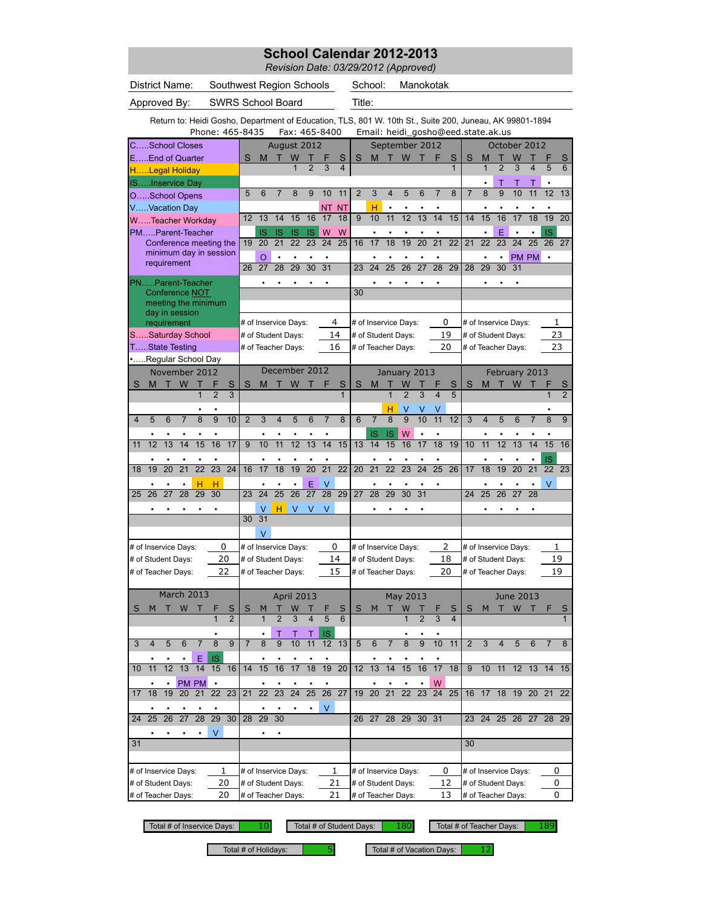|                                                                                                                            |    |                      |                |             |                | School Calendar 2012-2013<br>Revision Date: 03/29/2012 (Approved) |       |               |                      |                |    |           |                |                 |                                    |                      |                |    |                         |           |    |
|----------------------------------------------------------------------------------------------------------------------------|----|----------------------|----------------|-------------|----------------|-------------------------------------------------------------------|-------|---------------|----------------------|----------------|----|-----------|----------------|-----------------|------------------------------------|----------------------|----------------|----|-------------------------|-----------|----|
| District Name:<br>Southwest Region Schools                                                                                 |    |                      |                |             |                |                                                                   |       |               | School:              |                |    | Manokotak |                |                 |                                    |                      |                |    |                         |           |    |
| <b>SWRS School Board</b><br>Approved By:                                                                                   |    |                      |                |             |                |                                                                   |       | Title:        |                      |                |    |           |                |                 |                                    |                      |                |    |                         |           |    |
| Return to: Heidi Gosho, Department of Education, TLS, 801 W. 10th St., Suite 200, Juneau, AK 99801-1894<br>Phone: 465-8435 |    |                      |                |             |                | Fax: 465-8400                                                     |       |               |                      |                |    |           |                |                 | Email: heidi_gosho@eed.state.ak.us |                      |                |    |                         |           |    |
| School Closes                                                                                                              |    |                      |                | August 2012 |                |                                                                   |       |               |                      | September 2012 |    |           |                |                 |                                    |                      |                |    | October 2012            |           |    |
| EEnd of Quarter                                                                                                            | S  | M                    |                | W           |                |                                                                   | S     | S             | M                    |                | W  |           |                | S               | S                                  | M                    |                | W  |                         |           | S  |
| HLegal Holiday                                                                                                             |    |                      |                | $\mathbf 1$ | $\overline{2}$ | 3                                                                 | 4     |               |                      |                |    |           |                |                 |                                    | $\mathbf{1}$         | $\overline{2}$ | 3  | $\overline{\mathbf{4}}$ | 5         | 6  |
| ISInservice Day                                                                                                            |    |                      |                |             |                |                                                                   |       |               |                      |                |    |           |                |                 |                                    | ٠                    |                |    |                         |           |    |
| OSchool Opens                                                                                                              | 5  | 6                    | $\overline{7}$ | 8           | 9              | 10                                                                | 11    | $\mathcal{P}$ | 3                    | 4              | 5  | 6         | $\overline{7}$ | $\mathbf{8}$    | $\overline{7}$                     | $\mathbf{8}$         | 9              | 10 | 11                      | 12        | 13 |
| VVacation Day                                                                                                              |    |                      |                |             |                |                                                                   | NT NT |               | н                    | ٠              |    |           |                |                 |                                    |                      |                |    |                         |           |    |
| WTeacher Workday                                                                                                           | 12 | 13                   | 14             | 15          | 16             | 17                                                                | 18    | $\mathbf{Q}$  | 10                   | 11             | 12 | 13        | 14             | 15              | 14                                 | 15                   | 16             | 17 | 18                      | 19        | 20 |
| PMParent-Teacher                                                                                                           |    | IS                   | <b>IS</b>      | <b>IS</b>   | <b>IS</b>      | W                                                                 | W     |               |                      |                |    |           |                |                 |                                    | ٠                    | F              |    | ٠                       | <b>IS</b> |    |
| Conference meeting the                                                                                                     |    | 19 20                | 21             | 22          | 23             | 24                                                                | 25    | 16            | 17                   | 18             | 19 | 20        | 21             | $\overline{22}$ | 21                                 | 22                   | 23             | 24 | 25                      | 26 27     |    |
| minimum day in session                                                                                                     |    | $\Omega$             |                |             |                |                                                                   |       |               |                      |                |    |           |                |                 |                                    | $\bullet$            |                |    | PM PM .                 |           |    |
| requirement                                                                                                                | 26 | 27                   | 28             | 29          | 30             | 31                                                                |       | 23            | 24                   | 25             | 26 | 27        | 28             | 29              | 28                                 | 29                   | 30             | 31 |                         |           |    |
| PNParent-Teacher                                                                                                           |    |                      |                |             |                |                                                                   |       |               |                      |                |    |           |                |                 |                                    |                      |                |    |                         |           |    |
| <b>Conference NOT</b>                                                                                                      |    |                      |                |             |                |                                                                   |       | 30            |                      |                |    |           |                |                 |                                    |                      |                |    |                         |           |    |
| meeting the minimum                                                                                                        |    |                      |                |             |                |                                                                   |       |               |                      |                |    |           |                |                 |                                    |                      |                |    |                         |           |    |
| day in session<br>requirement                                                                                              |    | # of Inservice Days: |                |             |                |                                                                   | 4     |               | # of Inservice Days: |                |    |           |                | 0               |                                    | # of Inservice Days: |                |    |                         | 1         |    |
| SSaturday School                                                                                                           |    | # of Student Days:   |                |             |                |                                                                   | 14    |               | # of Student Days:   |                |    |           |                | 19              |                                    | # of Student Days:   |                |    |                         | 23        |    |
| TState Testing                                                                                                             |    | # of Teacher Days:   |                |             |                |                                                                   | 16    |               | # of Teacher Days:   |                |    |           |                | 20              |                                    | # of Teacher Days:   |                |    |                         | 23        |    |

|                |    |                 | . orano oomny        |                    |                 |                 |                 | m or rouonor Duyo.   |                |                   |                         |                 | ∸               |                 | $\pi$ or reading Days. |                 |                          |                |                         | ້                       |                | $\pi$ or reading Days.  |                 |                  |                 |                |                 |
|----------------|----|-----------------|----------------------|--------------------|-----------------|-----------------|-----------------|----------------------|----------------|-------------------|-------------------------|-----------------|-----------------|-----------------|------------------------|-----------------|--------------------------|----------------|-------------------------|-------------------------|----------------|-------------------------|-----------------|------------------|-----------------|----------------|-----------------|
|                |    |                 |                      | Regular School Day |                 |                 |                 |                      |                |                   |                         |                 |                 |                 |                        |                 |                          |                |                         |                         |                |                         |                 |                  |                 |                |                 |
|                |    |                 |                      | November 2012      |                 |                 |                 |                      |                | December 2012     |                         |                 |                 |                 |                        | January 2013    |                          |                |                         |                         |                |                         | February 2013   |                  |                 |                |                 |
| S              | M  | т               | W                    |                    |                 | S               | S               | M                    |                | W                 |                         |                 | S               | S               | M                      |                 |                          |                |                         | S                       | S              | M                       |                 | W                |                 |                | S               |
|                |    |                 |                      | $\mathbf 1$        | $\overline{2}$  | $\overline{3}$  |                 |                      |                |                   |                         |                 | 1               |                 |                        |                 | $\overline{\phantom{0}}$ | 3              | $\overline{\mathbf{4}}$ | $\overline{5}$          |                |                         |                 |                  |                 | 1              | $\overline{2}$  |
|                |    |                 |                      | $\bullet$          | ٠               |                 |                 |                      |                |                   |                         |                 |                 |                 |                        | н               | V                        | V              | V                       |                         |                |                         |                 |                  |                 |                |                 |
| $\overline{4}$ | 5  | 6               | $\overline{7}$       | 8                  | 9               | 10              | 2               | 3                    | $\overline{4}$ | 5                 | 6                       | $\overline{7}$  | 8               | 6               | $\overline{7}$         | $\overline{8}$  | $\overline{9}$           | 10             | 11                      | $\overline{12}$         | $\overline{3}$ | $\overline{\mathbf{4}}$ | 5               | 6                | $\overline{7}$  | 8              | 9               |
|                |    |                 |                      |                    |                 |                 |                 |                      |                |                   |                         |                 |                 |                 | <b>IS</b>              | <b>IS</b>       | W                        |                |                         |                         |                |                         |                 |                  |                 |                |                 |
| 11             | 12 | $\overline{13}$ | 14                   | 15                 | 16              | 17              | $\overline{9}$  | 10                   | 11             | $\overline{12}$   | $\overline{13}$         | 14              | 15              | 13              | 14                     | 15              | 16                       | 17             | $\overline{18}$         | 19                      | 10             | 11                      | 12              | $\overline{13}$  | 14              | 15             | $\overline{16}$ |
|                |    |                 |                      |                    |                 |                 |                 |                      |                |                   |                         |                 |                 |                 |                        |                 |                          |                |                         |                         |                |                         |                 |                  | $\bullet$       | <b>IS</b>      |                 |
| 18             | 19 | 20              | 21                   | $\overline{22}$    | $\overline{23}$ | $\overline{24}$ | 16              | 17                   | 18             | 19                | 20                      | $\overline{21}$ | $\overline{22}$ | 20              | 21                     | $\overline{22}$ | $\overline{23}$          | 24             | $\overline{25}$         | $\overline{26}$         | 17             | 18                      | 19              | 20               | $\overline{21}$ | $22 \t 23$     |                 |
|                |    |                 |                      | н                  | н               |                 |                 |                      |                | $\bullet$         | E                       | $\vee$          |                 |                 |                        |                 |                          |                | $\bullet$               |                         |                |                         |                 |                  |                 | $\vee$         |                 |
| 25             | 26 | 27              | 28                   | 29                 | 30              |                 | 23              | 24                   | 25             | 26                | 27                      | 28              | 29              | 27              | 28                     | 29              | 30                       | 31             |                         |                         | 24             | 25                      | $\overline{26}$ | 27               | 28              |                |                 |
|                |    |                 |                      |                    |                 |                 |                 | $\vee$               | н              | $\vee$            | V                       | V               |                 |                 |                        |                 |                          |                |                         |                         |                |                         |                 |                  |                 |                |                 |
|                |    |                 |                      |                    |                 |                 | 30 <sup>7</sup> | 31                   |                |                   |                         |                 |                 |                 |                        |                 |                          |                |                         |                         |                |                         |                 |                  |                 |                |                 |
|                |    |                 |                      |                    |                 |                 |                 | $\vee$               |                |                   |                         |                 |                 |                 |                        |                 |                          |                |                         |                         |                |                         |                 |                  |                 |                |                 |
|                |    |                 | # of Inservice Days: |                    |                 | $\Omega$        |                 | # of Inservice Days: |                |                   |                         |                 | $\Omega$        |                 | # of Inservice Days:   |                 |                          |                |                         | 2                       |                | # of Inservice Days:    |                 |                  |                 |                | 1               |
|                |    |                 | # of Student Days:   |                    |                 | 20              |                 | # of Student Days:   |                |                   |                         |                 | 14              |                 | # of Student Days:     |                 |                          |                |                         | 18                      |                | # of Student Days:      |                 |                  |                 |                | 19              |
|                |    |                 | # of Teacher Days:   |                    |                 | 22              |                 | # of Teacher Days:   |                |                   |                         |                 | 15              |                 | # of Teacher Days:     |                 |                          |                |                         | 20                      |                | # of Teacher Days:      |                 |                  |                 |                | 19              |
|                |    |                 |                      |                    |                 |                 |                 |                      |                |                   |                         |                 |                 |                 |                        |                 |                          |                |                         |                         |                |                         |                 |                  |                 |                |                 |
|                |    |                 |                      | <b>March 2013</b>  |                 |                 |                 |                      |                | <b>April 2013</b> |                         |                 |                 |                 |                        |                 | May 2013                 |                |                         |                         |                |                         |                 | <b>June 2013</b> |                 |                |                 |
| S              | M  |                 | W                    |                    |                 | S               | S               | M                    |                | W                 |                         |                 | S               | S               | M                      |                 | W                        |                |                         | S                       | S              | M                       |                 | W                |                 | F              | S               |
|                |    |                 |                      |                    | $\overline{1}$  | $\overline{2}$  |                 | $\overline{1}$       | $\overline{2}$ | 3                 | $\overline{\mathbf{A}}$ | 5               | 6               |                 |                        |                 | $\overline{1}$           | $\overline{2}$ | 3                       | $\overline{\mathbf{A}}$ |                |                         |                 |                  |                 |                |                 |
|                |    |                 |                      |                    | ٠               |                 |                 | $\bullet$            | т              | Т                 |                         | <b>IS</b>       |                 |                 |                        |                 |                          |                | $\bullet$               |                         |                |                         |                 |                  |                 |                |                 |
| 3              | 4  | 5               | 6                    | $\overline{7}$     | 8               | 9               | $\overline{7}$  | 8                    | $\overline{9}$ | 10                | 11                      | 12              | 13              | 5               | 6                      | $\overline{7}$  | 8                        | 9              | 10                      | 11                      | 2              | 3                       | 4               | 5                | 6               | $\overline{7}$ | 8               |
|                |    |                 |                      | E                  | <b>IS</b>       |                 |                 |                      |                |                   |                         |                 |                 |                 |                        |                 |                          |                |                         |                         |                |                         |                 |                  |                 |                |                 |
| 10             | 11 | 12              | 13                   | 14                 | 15              | 16              | 14              | 15                   | 16             | 17                | 18                      | 19              | $\overline{20}$ | 12 <sup>2</sup> | 13                     | 14              | 15                       | 16             | 17                      | 18                      | 9              | 10                      | 11              |                  |                 | 12 13 14 15    |                 |
|                |    |                 |                      | PM PM              | $\bullet$       |                 |                 |                      |                | $\bullet$         |                         |                 |                 |                 |                        |                 |                          |                | W                       |                         |                |                         |                 |                  |                 |                |                 |
| 17             | 18 | 19              | 20                   | 21                 | 22              | 23              | 21              | 22                   | 23             | 24                | 25                      | 26              | $\overline{27}$ | 19              | 20                     | 21              | 22                       | 23             | 24                      | 25                      | 16             | 17                      | 18              | 19               | 20 21           |                | 22              |
|                |    |                 |                      |                    |                 |                 |                 |                      |                |                   |                         | $\vee$          |                 |                 |                        |                 |                          |                |                         |                         |                |                         |                 |                  |                 |                |                 |
|                |    |                 |                      |                    |                 |                 |                 |                      |                |                   |                         |                 |                 |                 |                        |                 |                          |                |                         |                         |                |                         |                 |                  |                 |                |                 |

# of Inservice Days:  $\begin{array}{c|c} 1 & \end{array}$  # of Inservice Days:  $\begin{array}{c|c} 1 & \end{array}$  # of Inservice Days: # of Student Days: 20 |# of Student Days: 21 |# of Student Days: 12 |# of Student Days: 0 # of Teacher Days:  $20$  # of Teacher Days:  $21$  # of Teacher Days:  $13$  # of Teacher Days: 20 1

Total # of Inservice Days: 0 10 Total # of Student Days:

 $\cdot$   $\cdot$   $\cdot$   $\cdot$   $\vee$   $\cdot$   $\cdot$ 

24 25 26 27 28 29 30 28 29 30 31 32 33 34 26 27 28 29 30 31 32 23 24 25 26 27 28 29

31 32 33 34 35 36 37 35 36 37 38 39 40 41 33 34 35 36 37 38 39 30 31 32 33 34 35 36

180 Total # of Teacher Days: 189

 $\#$  of Inservice Days: 0

0

10

Total # of Holidays:  $\begin{array}{|c|c|c|c|c|}\n\hline\n5 & 5 & \text{Total $\#$ of vacation Days:} & 12\n\end{array}$ 

0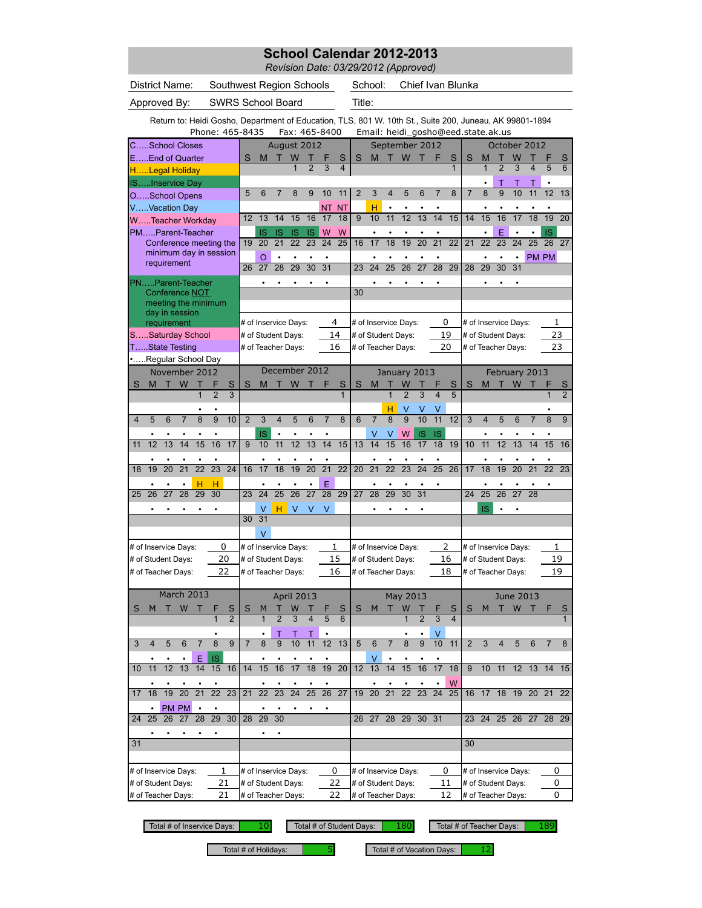*Revision Date: 03/29/2012 (Approved)*

|                          |                | District Name:                                                                                          |                |                 |                 |                 | Southwest Region Schools |                 |                         |                 |                 |                      |                 |                | School:                            |                         |                   |                 | Chief Ivan Blunka       |                 |                |                      |                 |                    |                              |                              |                 |
|--------------------------|----------------|---------------------------------------------------------------------------------------------------------|----------------|-----------------|-----------------|-----------------|--------------------------|-----------------|-------------------------|-----------------|-----------------|----------------------|-----------------|----------------|------------------------------------|-------------------------|-------------------|-----------------|-------------------------|-----------------|----------------|----------------------|-----------------|--------------------|------------------------------|------------------------------|-----------------|
|                          |                | Approved By:                                                                                            |                |                 |                 |                 | SWRS School Board        |                 |                         |                 |                 |                      |                 | Title:         |                                    |                         |                   |                 |                         |                 |                |                      |                 |                    |                              |                              |                 |
|                          |                | Return to: Heidi Gosho, Department of Education, TLS, 801 W. 10th St., Suite 200, Juneau, AK 99801-1894 |                |                 |                 |                 | Phone: 465-8435          |                 |                         |                 |                 | Fax: 465-8400        |                 |                | Email: heidi_gosho@eed.state.ak.us |                         |                   |                 |                         |                 |                |                      |                 |                    |                              |                              |                 |
|                          |                | CSchool Closes                                                                                          |                |                 |                 |                 |                          |                 | August 2012             |                 |                 |                      |                 |                |                                    |                         | September 2012    |                 |                         |                 |                |                      |                 | October 2012       |                              |                              |                 |
|                          |                | EEnd of Quarter                                                                                         |                |                 |                 |                 | S                        | M               |                         | W               |                 |                      | S               | S              | M                                  |                         | W                 |                 |                         | S               | S              | M                    |                 | W                  |                              |                              | S               |
|                          |                | HLegal Holiday                                                                                          |                |                 |                 |                 |                          |                 |                         |                 | $\overline{2}$  | $\overline{3}$       |                 |                |                                    |                         |                   |                 |                         | $\mathbf{1}$    |                | $\overline{1}$       | $\overline{2}$  | $\overline{3}$     | 4                            | 5                            | 6               |
|                          |                | ISInservice Day                                                                                         |                |                 |                 |                 |                          |                 |                         |                 |                 |                      |                 |                |                                    |                         |                   |                 |                         |                 |                |                      | Т               | т                  | т                            | ٠                            |                 |
|                          |                | OSchool Opens                                                                                           |                |                 |                 |                 | 5                        | 6               | 7                       | 8               | 9               | 10                   | 11              | $\overline{2}$ | 3                                  | $\overline{\mathbf{4}}$ | 5                 | 6               | 7                       | 8               | $\overline{7}$ | 8                    | 9               | 10                 | 11                           | 12                           | 13              |
|                          |                | VVacation Day                                                                                           |                |                 |                 |                 | 12                       | 13              | 14                      | 15              | 16              | NT<br>17             | <b>NT</b><br>18 | 9              | н<br>10                            | 11                      | $\overline{12}$   | 13              | 14                      | 15              | 14             | 15                   | 16              | 17                 | $\overline{18}$              | $\overline{19}$              | 20              |
|                          |                | WTeacher Workday                                                                                        |                |                 |                 |                 |                          |                 |                         |                 |                 |                      |                 |                |                                    |                         |                   |                 |                         |                 |                |                      |                 |                    |                              |                              |                 |
|                          |                | PMParent-Teacher<br>Conference meeting the                                                              |                |                 |                 |                 | 19                       | IS<br>20        | IS<br>$\overline{21}$   | IS<br>22        | IS<br>23        | W<br>$\overline{24}$ | W<br>25         | 16             | 17                                 | $\overline{18}$         | 19                | $\overline{20}$ | $\overline{21}$         | $\overline{22}$ | 21             | 22                   | Ë<br>23         | 24                 | $\bullet$<br>$\overline{25}$ | <b>IS</b><br>$\overline{26}$ | $\overline{27}$ |
|                          |                | minimum day in session                                                                                  |                |                 |                 |                 |                          |                 |                         |                 |                 |                      |                 |                |                                    |                         |                   |                 |                         |                 |                |                      |                 |                    |                              |                              |                 |
|                          |                | requirement                                                                                             |                |                 |                 |                 | 26                       | O<br>27         | 28                      | ٠<br>29         | ٠<br>30         | $\bullet$<br>31      |                 | 23             | ٠<br>24                            | ٠<br>25                 | ٠<br>26           | $\overline{27}$ | ٠<br>28                 | 29              | 28             | ٠<br>29              | ٠<br>30         | ٠<br>31            |                              | <b>PM PM</b>                 |                 |
|                          |                | PNParent-Teacher                                                                                        |                |                 |                 |                 |                          |                 |                         |                 |                 |                      |                 |                |                                    |                         |                   |                 |                         |                 |                |                      |                 |                    |                              |                              |                 |
|                          |                | Conference NOT                                                                                          |                |                 |                 |                 |                          |                 |                         |                 |                 |                      |                 | 30             |                                    |                         |                   |                 |                         |                 |                |                      |                 |                    |                              |                              |                 |
|                          |                | meeting the minimum                                                                                     |                |                 |                 |                 |                          |                 |                         |                 |                 |                      |                 |                |                                    |                         |                   |                 |                         |                 |                |                      |                 |                    |                              |                              |                 |
|                          |                | day in session                                                                                          |                |                 |                 |                 |                          |                 |                         |                 |                 |                      |                 |                |                                    |                         |                   |                 |                         |                 |                |                      |                 |                    |                              |                              |                 |
|                          |                | requirement                                                                                             |                |                 |                 |                 |                          |                 | # of Inservice Days:    |                 |                 |                      | 4               |                | # of Inservice Days:               |                         |                   |                 | 0                       |                 |                | # of Inservice Days: |                 |                    |                              | 1                            |                 |
|                          |                | SSaturday School                                                                                        |                |                 |                 |                 |                          |                 | # of Student Days:      |                 |                 |                      | 14              |                | # of Student Days:                 |                         |                   |                 | 19                      |                 |                | # of Student Days:   |                 |                    |                              | 23                           |                 |
|                          |                | TState Testing<br>Regular School Day                                                                    |                |                 |                 |                 |                          |                 | # of Teacher Days:      |                 |                 |                      | 16              |                | # of Teacher Days:                 |                         |                   |                 | 20                      |                 |                | # of Teacher Days:   |                 |                    |                              | 23                           |                 |
|                          |                | November 2012                                                                                           |                |                 |                 |                 |                          |                 | December 2012           |                 |                 |                      |                 |                |                                    |                         |                   |                 |                         |                 |                |                      |                 |                    |                              |                              |                 |
| S                        | M              | т                                                                                                       | W              | т               | F               | S               | S                        | M               | П                       | W               |                 |                      | S               | S              | M                                  |                         | January 2013<br>W |                 |                         | S               | S              | M                    |                 | February 2013<br>W |                              |                              | S               |
|                          |                |                                                                                                         |                | $\mathbf{1}$    | $\overline{2}$  | $\overline{3}$  |                          |                 |                         |                 |                 |                      | 1               |                |                                    | 1                       | $\overline{2}$    | $\overline{3}$  | $\overline{\mathbf{4}}$ | $\overline{5}$  |                |                      |                 |                    |                              | $\mathbf{1}$                 | $\overline{2}$  |
|                          |                |                                                                                                         |                |                 |                 |                 |                          |                 |                         |                 |                 |                      |                 |                |                                    | н                       | v                 |                 |                         |                 |                |                      |                 |                    |                              |                              |                 |
| 4                        | 5              | 6                                                                                                       | $\overline{7}$ | $\overline{8}$  | $\overline{9}$  | 10              | $\overline{2}$           | 3               | $\overline{\mathbf{4}}$ | 5               | 6               | $\overline{7}$       | 8               | 6              | $\overline{7}$                     | $\overline{8}$          | $\overline{9}$    | 10              | 11                      | 12              | 3              | 4                    | 5               | 6                  | $\overline{7}$               | 8                            | 9               |
|                          |                |                                                                                                         |                |                 |                 |                 |                          | IS              |                         |                 |                 |                      |                 |                | V                                  | ٧                       | W                 | IS              | <b>IS</b>               |                 |                |                      |                 |                    |                              |                              |                 |
| 11                       | 12             | $\overline{13}$                                                                                         | 14             | 15              | 16              | 17              | $\overline{9}$           | 10              | $\overline{11}$         | $\overline{12}$ | 13              | 14                   | 15              | 13             | 14                                 | 15                      | 16                | 17              | 18                      | 19              | 10             | 11                   | 12              | $\overline{13}$    | 14                           | 15                           | 16              |
|                          |                |                                                                                                         |                |                 |                 |                 |                          |                 |                         |                 |                 |                      |                 |                |                                    |                         |                   |                 |                         |                 |                |                      |                 |                    |                              |                              |                 |
| 18                       | 19             | 20                                                                                                      | 21             | $\overline{22}$ | $\overline{23}$ | $\overline{24}$ | 16                       | 17              | 18                      | 19              | 20              | $\overline{21}$      | $\overline{22}$ | 20             | 21                                 | $\overline{22}$         | 23                | 24              | 25                      | 26              | 17             | 18                   | 19              | $\overline{20}$    | $\overline{21}$              | $\overline{22}$              | 23              |
|                          |                |                                                                                                         |                | н               | н               |                 |                          |                 |                         |                 |                 | Ë                    |                 |                |                                    |                         |                   |                 |                         |                 |                |                      |                 |                    |                              |                              |                 |
| 25                       | 26             | 27                                                                                                      | 28             | 29              | 30              |                 | 23                       | 24              | 25                      | $\overline{26}$ | 27              | 28                   | 29              | 27             | 28                                 | 29                      | 30                | $\overline{31}$ |                         |                 | 24             | 25                   | $\overline{26}$ | 27                 | 28                           |                              |                 |
|                          |                |                                                                                                         |                |                 |                 |                 |                          | V               | H.                      | V               | V               | V                    |                 |                |                                    |                         |                   |                 |                         |                 |                | IS                   |                 |                    |                              |                              |                 |
|                          |                |                                                                                                         |                |                 |                 |                 | 30                       | 31              |                         |                 |                 |                      |                 |                |                                    |                         |                   |                 |                         |                 |                |                      |                 |                    |                              |                              |                 |
|                          |                |                                                                                                         |                |                 |                 |                 |                          | V               |                         |                 |                 |                      |                 |                |                                    |                         |                   |                 |                         |                 |                |                      |                 |                    |                              |                              |                 |
|                          |                | # of Inservice Days:                                                                                    |                |                 |                 | 0               |                          |                 | # of Inservice Days:    |                 |                 |                      | 1               |                | # of Inservice Days:               |                         |                   |                 | 2                       |                 |                | # of Inservice Days: |                 |                    |                              | 1                            |                 |
|                          |                | # of Student Days:                                                                                      |                |                 |                 | 20              |                          |                 | # of Student Days:      |                 |                 |                      | 15              |                | # of Student Days:                 |                         |                   |                 | 16                      |                 |                | # of Student Days:   |                 |                    |                              | 19                           |                 |
|                          |                | # of Teacher Days:                                                                                      |                |                 |                 | 22              |                          |                 | # of Teacher Days:      |                 |                 |                      | 16              |                | # of Teacher Days:                 |                         |                   |                 | 18                      |                 |                | # of Teacher Days:   |                 |                    |                              | 19                           |                 |
|                          |                |                                                                                                         |                |                 |                 |                 |                          |                 |                         |                 |                 |                      |                 |                |                                    |                         |                   |                 |                         |                 |                |                      |                 |                    |                              |                              |                 |
|                          |                | March 2013                                                                                              |                |                 |                 |                 |                          |                 |                         | April 2013      |                 |                      |                 |                |                                    |                         | May 2013          |                 |                         |                 |                |                      |                 | June 2013          |                              |                              |                 |
| S                        | м              |                                                                                                         | W              | т               |                 | S               | S                        |                 |                         | W               |                 |                      | S               | S              | M                                  |                         | W                 |                 |                         | S               | S              | M                    |                 | W                  | т                            | F                            | S               |
|                          |                |                                                                                                         |                |                 |                 | $\overline{2}$  |                          | 1               | $\overline{2}$          | 3               | 4               | 5                    | 6               |                |                                    |                         | 1                 | $\overline{2}$  | 3                       | $\overline{4}$  |                |                      |                 |                    |                              |                              | $\mathbf{1}$    |
|                          |                |                                                                                                         |                |                 |                 |                 |                          |                 | Τ                       | Τ               | т               |                      |                 |                |                                    |                         |                   |                 | V                       |                 |                |                      |                 |                    |                              |                              |                 |
| 3                        | $\overline{4}$ | 5                                                                                                       | 6              | 7               | 8               | 9               | $\overline{7}$           | 8               | 9                       | 10              | 11              | 12                   | 13              | 5              | 6                                  | $\overline{7}$          | 8                 | 9               | 10                      | 11              | $\overline{2}$ | 3                    | $\overline{4}$  | 5                  | 6                            | 7                            | 8               |
|                          |                |                                                                                                         |                | Ε               | IS              |                 |                          |                 |                         |                 |                 |                      |                 |                | v                                  |                         |                   |                 |                         |                 |                |                      |                 |                    |                              |                              |                 |
| 10                       | 11             | 12                                                                                                      | 13             | 14              | 15              | 16              | 14                       | 15              | 16                      | 17              | 18              | 19                   | $\overline{20}$ | 12             | 13                                 | 14                      | 15                | 16              | 17                      | 18              | 9              | 10                   | 11              | 12                 |                              | 13 14                        | 15              |
|                          |                |                                                                                                         |                |                 |                 |                 |                          |                 |                         |                 |                 |                      |                 |                |                                    |                         |                   |                 |                         | W               |                |                      |                 |                    |                              |                              |                 |
| 17                       | 18             | 19                                                                                                      | 20             | $\overline{21}$ |                 | $22 \t 23$      | 21                       | 22              | $\overline{23}$         | $\overline{24}$ | $\overline{25}$ | $\overline{26}$      | 27              | 19             | 20                                 | $\overline{21}$         | $\overline{22}$   | $\overline{23}$ | 24                      | $\overline{25}$ |                | 16 17                | 18              |                    | 19 20 21                     |                              | 22              |
|                          | ٠              | PM PM                                                                                                   |                | $\bullet$       |                 |                 |                          |                 |                         |                 |                 |                      |                 |                |                                    |                         |                   |                 |                         |                 |                |                      |                 |                    |                              |                              |                 |
| 24                       | 25             | $\overline{26}$                                                                                         | 27             | 28              | $\overline{29}$ | 30              | 28                       | $\overline{29}$ | $\overline{30}$         |                 |                 |                      |                 | 26             | 27                                 | 28                      | 29                | 30              | 31                      |                 | 23             | 24                   | 25 26           |                    | 27                           | 28 29                        |                 |
|                          |                |                                                                                                         |                |                 |                 |                 |                          |                 | ٠                       |                 |                 |                      |                 |                |                                    |                         |                   |                 |                         |                 |                |                      |                 |                    |                              |                              |                 |
| 31                       |                |                                                                                                         |                |                 |                 |                 |                          |                 |                         |                 |                 |                      |                 |                |                                    |                         |                   |                 |                         |                 | 30             |                      |                 |                    |                              |                              |                 |
|                          |                |                                                                                                         |                |                 |                 |                 |                          |                 |                         |                 |                 |                      |                 |                |                                    |                         |                   |                 |                         |                 |                |                      |                 |                    |                              |                              |                 |
|                          |                | # of Inservice Days:                                                                                    |                |                 |                 | 1               |                          |                 | # of Inservice Days:    |                 |                 |                      | 0               |                | # of Inservice Days:               |                         |                   |                 | 0                       |                 |                | # of Inservice Days: |                 |                    |                              | 0                            |                 |
|                          |                | # of Student Days:                                                                                      |                |                 |                 | 21              |                          |                 | # of Student Days:      |                 |                 |                      | 22              |                | # of Student Days:                 |                         |                   |                 | 11                      |                 |                | # of Student Days:   |                 |                    |                              | 0                            |                 |
| 21<br># of Teacher Days: |                |                                                                                                         |                |                 |                 |                 |                          |                 | # of Teacher Days:      |                 |                 |                      | 22              |                | # of Teacher Days:                 |                         |                   |                 | 12                      |                 |                | # of Teacher Days:   |                 |                    |                              | 0                            |                 |

Total # of Inservice Days: 10

10 Total # of Student Days: 180 Total # of Teacher Days: 189

Total # of Holidays:  $\begin{array}{|l|l|} \hline \end{array}$  5 Total # of Vacation Days: 12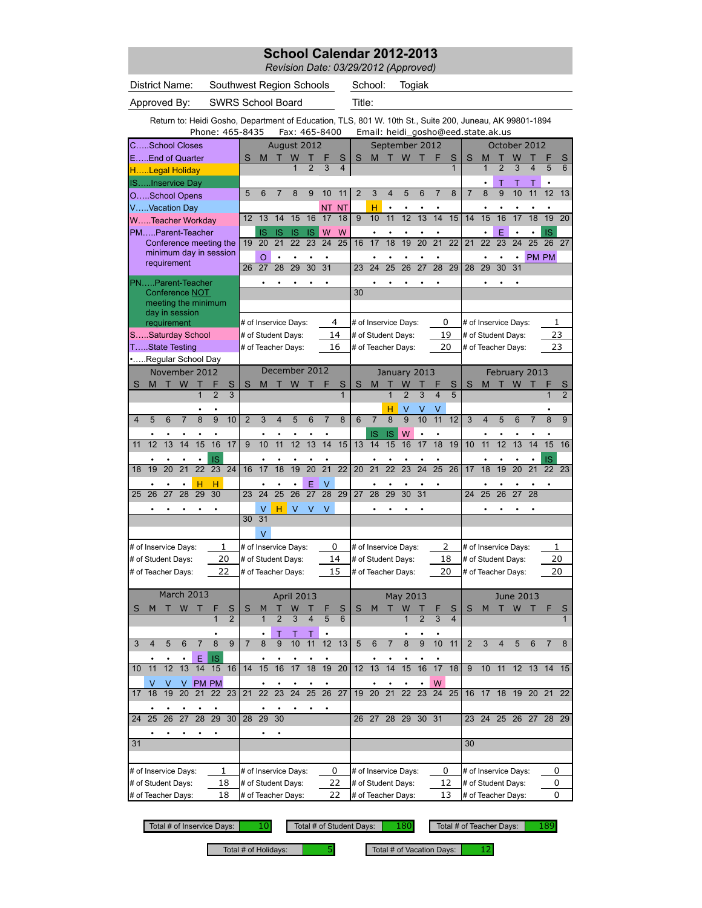*Revision Date: 03/29/2012 (Approved)*

District Name: Southwest Region Schools School:

Togiak

Approved By: SWRS School Board Title:

Return to: Heidi Gosho, Department of Education, TLS, 801 W. 10th St., Suite 200, Juneau, AK 99801-1894

|                                                  |                                                                               |             |                | Phone: 465-8435        |                |                 |                |                 |                      |                 |                 | Fax: 465-8400   |                 |                 |                      |                     |                     |                      |                              |                     |                 | Email: heidi_gosho@eed.state.ak.us |                 |                 |                 |                   |                     |
|--------------------------------------------------|-------------------------------------------------------------------------------|-------------|----------------|------------------------|----------------|-----------------|----------------|-----------------|----------------------|-----------------|-----------------|-----------------|-----------------|-----------------|----------------------|---------------------|---------------------|----------------------|------------------------------|---------------------|-----------------|------------------------------------|-----------------|-----------------|-----------------|-------------------|---------------------|
|                                                  | <b>CSchool Closes</b>                                                         |             |                |                        |                |                 |                |                 | August 2012          |                 |                 |                 |                 |                 |                      |                     | September 2012      |                      |                              |                     |                 |                                    |                 | October 2012    |                 |                   |                     |
|                                                  | EEnd of Quarter                                                               |             |                |                        |                |                 | S              | М               | Т                    | W               |                 |                 | S               | S               | M                    |                     | W                   |                      |                              | S                   | S               | М                                  | Т               | W               |                 |                   | S                   |
|                                                  | HLegal Holiday                                                                |             |                |                        |                |                 |                |                 |                      |                 | $\overline{2}$  | $\overline{3}$  |                 |                 |                      |                     |                     |                      |                              | 1                   |                 | $\mathbf{1}$                       | $\overline{2}$  | $\overline{3}$  | 4               | 5                 | 6                   |
|                                                  | ISInservice Day                                                               |             |                |                        |                |                 |                |                 |                      |                 |                 |                 |                 |                 |                      |                     |                     |                      |                              |                     |                 |                                    | Т               | Т               | Т               |                   |                     |
|                                                  | OSchool Opens                                                                 |             |                |                        |                |                 | 5              | 6               | 7                    | 8               | 9               | 10              | 11              | $\overline{2}$  | 3                    | $\overline{4}$      | 5                   | 6                    | 7                            | 8                   | $\overline{7}$  | 8                                  | 9               | 10              | 11              | 12                | 13                  |
|                                                  | VVacation Day                                                                 |             |                |                        |                |                 |                |                 |                      |                 |                 | <b>NT</b>       | <b>NT</b>       |                 | н                    | $\bullet$           |                     |                      |                              |                     |                 |                                    |                 |                 |                 |                   |                     |
|                                                  |                                                                               |             |                | WTeacher Workday       |                |                 | 12             | 13              | 14                   | 15              | 16              | 17              | 18              | $\overline{9}$  | 10                   | 11                  | 12                  | $\overline{13}$      | 14                           | 15                  | 14              | 15                                 | 16              | 17              | 18              | 19                | $\overline{20}$     |
|                                                  |                                                                               |             |                | PMParent-Teacher       |                |                 |                | IS              |                      | IS              | IS              | W               | W               |                 |                      |                     |                     |                      |                              |                     |                 |                                    | E               |                 |                 | <b>IS</b>         |                     |
|                                                  |                                                                               |             |                | Conference meeting the |                |                 | 19             | $\overline{20}$ | $\overline{21}$      | 22              | $\overline{23}$ | 24              | 25              | 16              | 17                   | $\overline{18}$     | 19                  | $\overline{20}$      | $\overline{21}$              | $\overline{22}$     | $\overline{21}$ | $\overline{22}$                    | $\overline{23}$ | 24              | $\overline{25}$ | 26                | $\overline{27}$     |
|                                                  |                                                                               |             |                | minimum day in session |                |                 |                | O               | $\bullet$            | $\bullet$       |                 | $\bullet$       |                 |                 | $\bullet$            | $\bullet$           |                     |                      | $\bullet$                    |                     |                 |                                    | $\bullet$       | $\bullet$       |                 | PM PM             |                     |
|                                                  |                                                                               |             | requirement    |                        |                |                 | 26             | 27              | 28                   | 29              | 30              | 31              |                 | 23              | 24                   | $\overline{25}$     | $\overline{26}$     | $\overline{27}$      | $\overline{28}$              | 29                  | 28              | 29                                 | 30              | 31              |                 |                   |                     |
|                                                  |                                                                               |             |                | PNParent-Teacher       |                |                 |                |                 |                      |                 |                 |                 |                 |                 |                      |                     |                     |                      |                              |                     |                 |                                    |                 |                 |                 |                   |                     |
|                                                  |                                                                               |             |                | <b>Conference NOT</b>  |                |                 |                |                 |                      |                 |                 |                 |                 | 30              |                      |                     |                     |                      |                              |                     |                 |                                    |                 |                 |                 |                   |                     |
|                                                  |                                                                               |             |                | meeting the minimum    |                |                 |                |                 |                      |                 |                 |                 |                 |                 |                      |                     |                     |                      |                              |                     |                 |                                    |                 |                 |                 |                   |                     |
|                                                  |                                                                               |             | day in session |                        |                |                 |                |                 |                      |                 |                 |                 | 4               |                 |                      |                     |                     |                      |                              |                     |                 |                                    |                 |                 |                 |                   |                     |
|                                                  |                                                                               | requirement |                |                        |                |                 |                |                 | # of Inservice Days: |                 |                 |                 |                 |                 | # of Inservice Days: |                     |                     |                      |                              | 0                   |                 | # of Inservice Days:               |                 |                 |                 |                   | 1                   |
|                                                  | TState Testing                                                                |             |                | SSaturday School       |                |                 |                |                 | # of Student Days:   |                 |                 |                 | 14<br>16        |                 | # of Student Days:   |                     |                     |                      |                              | 19                  |                 | # of Student Days:                 |                 |                 |                 | 23<br>23          |                     |
|                                                  |                                                                               |             |                |                        |                |                 |                |                 | # of Teacher Days:   |                 |                 |                 |                 |                 | # of Teacher Days:   |                     |                     |                      | 20                           |                     |                 | # of Teacher Days:                 |                 |                 |                 |                   |                     |
|                                                  |                                                                               |             |                | Regular School Day     |                |                 |                |                 | December 2012        |                 |                 |                 |                 |                 |                      |                     |                     |                      |                              |                     |                 |                                    |                 |                 |                 |                   |                     |
|                                                  |                                                                               |             |                |                        |                |                 |                |                 |                      |                 |                 |                 |                 |                 |                      |                     | January 2013        |                      |                              |                     |                 |                                    |                 | February 2013   |                 |                   |                     |
| S                                                |                                                                               |             |                |                        | $\overline{2}$ | S<br>3          | S              | M               |                      | W               |                 |                 | S<br>1          | S               | M                    | 1                   | W<br>$\overline{2}$ | 3                    | 4                            | S<br>$\overline{5}$ | S               | M                                  | т               | W               |                 | 1                 | S<br>$\overline{2}$ |
|                                                  |                                                                               |             |                |                        |                |                 |                |                 |                      |                 |                 |                 |                 |                 |                      |                     |                     |                      |                              |                     |                 |                                    |                 |                 |                 |                   |                     |
| 4                                                |                                                                               |             |                |                        | $\overline{9}$ | 10              | $\overline{2}$ | 3               | 4                    | 5               | 6               | 7               | 8               | 6               | $\overline{7}$       | н<br>$\overline{8}$ | V<br>$\overline{9}$ | ٧<br>$\overline{10}$ | V<br>$\overline{11}$         | 12                  | 3               | 4                                  | 5               | 6               |                 | 8                 | 9                   |
|                                                  | November 2012<br>W<br>т<br>Т<br>M<br>1<br>6<br>8<br>5<br>13<br>14<br>15<br>12 |             |                |                        |                |                 |                |                 |                      |                 |                 |                 |                 |                 |                      |                     |                     |                      |                              |                     |                 |                                    |                 |                 |                 |                   |                     |
| 11                                               |                                                                               |             |                |                        | ٠<br>16        | 17              | 9              | 10              | 11                   | 12              | 13              | 14              | 15              | 13              | IS<br>14             | IS<br>15            | W<br>16             | $\bullet$<br>17      | $\bullet$<br>$\overline{18}$ | 19                  | 10              | $\overline{11}$                    | $\overline{12}$ | 13              | 14              | ٠<br>15           | 16                  |
|                                                  |                                                                               |             |                |                        |                |                 |                |                 |                      |                 |                 |                 |                 |                 |                      |                     |                     |                      |                              |                     |                 |                                    |                 |                 |                 |                   |                     |
|                                                  |                                                                               |             |                | ٠                      | <b>IS</b>      |                 |                |                 |                      |                 |                 | ٠               |                 |                 |                      |                     |                     |                      |                              |                     |                 |                                    |                 |                 |                 | IS                |                     |
| 18                                               | 19                                                                            | 20          | 21             | $\overline{22}$        | 23             | $\overline{24}$ | 16             | 17              | 18                   | 19              | 20              | $\overline{21}$ | $\overline{22}$ | $\overline{20}$ | $\overline{21}$      | $\overline{22}$     | $\overline{23}$     | $\overline{24}$      | $\overline{25}$              | $\overline{26}$     | 17              | 18                                 | 19              | $\overline{20}$ | $\overline{21}$ | $\overline{22}$   | 23                  |
|                                                  |                                                                               |             |                | н                      | н              |                 |                |                 |                      |                 | E               | V               |                 |                 |                      |                     |                     |                      |                              |                     |                 |                                    |                 |                 |                 |                   |                     |
| 25                                               | 26                                                                            | 27          | 28             | 29                     | 30             |                 | 23             | 24              | 25                   | $\overline{26}$ | $\overline{27}$ | 28              | 29              | 27              | 28                   | 29                  | 30                  | 31                   |                              |                     | 24              | 25                                 | 26              | 27              | 28              |                   |                     |
|                                                  |                                                                               |             |                |                        |                |                 |                | V               | н                    | $\vee$          | V               | V               |                 |                 |                      |                     |                     |                      |                              |                     |                 |                                    |                 |                 |                 |                   |                     |
|                                                  |                                                                               |             |                |                        |                |                 | 30             | $\overline{31}$ |                      |                 |                 |                 |                 |                 |                      |                     |                     |                      |                              |                     |                 |                                    |                 |                 |                 |                   |                     |
|                                                  |                                                                               |             |                |                        |                |                 |                | $\vee$          |                      |                 |                 |                 |                 |                 |                      |                     |                     |                      |                              |                     |                 |                                    |                 |                 |                 |                   |                     |
|                                                  | # of Inservice Days:                                                          |             |                |                        |                | 1               |                |                 | # of Inservice Days: |                 |                 |                 | 0               |                 | # of Inservice Days: |                     |                     |                      |                              | 2                   |                 | # of Inservice Days:               |                 |                 |                 | 1                 |                     |
|                                                  | # of Student Days:                                                            |             |                |                        |                | 20              |                |                 | # of Student Days:   |                 |                 |                 | 14              |                 | # of Student Days:   |                     |                     |                      |                              | 18                  |                 | # of Student Days:                 |                 |                 |                 |                   | 20                  |
|                                                  | # of Teacher Days:                                                            |             |                |                        |                | 22              |                |                 | # of Teacher Days:   |                 |                 |                 | 15              |                 | # of Teacher Days:   |                     |                     |                      |                              | 20                  |                 | # of Teacher Days:                 |                 |                 |                 | 20                |                     |
|                                                  |                                                                               |             |                |                        |                |                 |                |                 |                      |                 |                 |                 |                 |                 |                      |                     |                     |                      |                              |                     |                 |                                    |                 |                 |                 |                   |                     |
|                                                  |                                                                               |             |                | March 2013             |                |                 |                |                 |                      | April 2013      |                 |                 |                 |                 |                      |                     | May 2013            |                      |                              |                     |                 |                                    |                 | June 2013       |                 |                   |                     |
| S                                                | M                                                                             | т           | W              |                        | F              | S               | S              | M               |                      | W               |                 |                 | S               | S               | M                    |                     | W                   |                      |                              | S                   | S               | M                                  |                 | W               |                 | F                 | S                   |
|                                                  |                                                                               |             |                |                        |                | $\overline{2}$  |                |                 | $\overline{2}$       | 3               |                 | 5               | 6               |                 |                      |                     |                     | $\overline{2}$       | 3                            | $\overline{4}$      |                 |                                    |                 |                 |                 |                   | $\mathbf{1}$        |
|                                                  |                                                                               |             |                |                        |                |                 |                |                 |                      |                 |                 |                 |                 |                 |                      |                     |                     |                      |                              |                     |                 |                                    |                 |                 |                 |                   |                     |
|                                                  |                                                                               |             |                |                        |                |                 |                |                 |                      |                 |                 |                 | 13              |                 |                      |                     |                     |                      |                              |                     |                 |                                    |                 |                 |                 |                   |                     |
|                                                  |                                                                               |             |                | Е                      | <b>IS</b>      |                 |                |                 |                      |                 |                 |                 |                 |                 |                      |                     |                     |                      |                              |                     |                 |                                    |                 |                 |                 |                   |                     |
| 10                                               | 11                                                                            | 12          | 13             | 14                     | 15             | 16              | 14             | 15              | 16                   | 17              | 18              | 19              | 20              | 12              | 13                   | 14                  | 15                  | 16                   | 17                           | 18                  | 9               |                                    |                 |                 |                 | 10 11 12 13 14 15 |                     |
|                                                  | V                                                                             | V           | V              |                        | PM PM          |                 |                |                 |                      |                 |                 |                 |                 |                 |                      |                     |                     |                      | W                            |                     |                 |                                    |                 |                 |                 |                   |                     |
| 17                                               | 18                                                                            | 19          | 20             | 21                     | 22             | 23              | 21             | 22              | 23                   | 24              | 25              | 26              | 27              | 19              | 20                   | 21                  | 22                  | 23                   | 24                           | 25                  | 16              | 17                                 | 18              | 19              | 20 21           |                   | 22                  |
|                                                  |                                                                               |             |                |                        |                |                 |                |                 |                      |                 |                 |                 |                 |                 |                      |                     |                     |                      |                              |                     |                 |                                    |                 |                 |                 |                   |                     |
| 24                                               | 25                                                                            | 26          | 27             | 28                     | 29             | 30              | 28             | 29              | 30                   |                 |                 |                 |                 | 26              | 27                   | 28                  | 29                  | 30 31                |                              |                     | 23              | 24                                 |                 | 25 26           | 27              | 28                | 29                  |
|                                                  |                                                                               |             |                |                        |                |                 |                |                 |                      |                 |                 |                 |                 |                 |                      |                     |                     |                      |                              |                     |                 |                                    |                 |                 |                 |                   |                     |
| 31                                               |                                                                               |             |                |                        |                |                 |                |                 |                      |                 |                 |                 |                 |                 |                      |                     |                     |                      |                              |                     | 30              |                                    |                 |                 |                 |                   |                     |
|                                                  |                                                                               |             |                |                        |                |                 |                |                 |                      |                 |                 |                 |                 |                 |                      |                     |                     |                      |                              |                     |                 |                                    |                 |                 |                 |                   |                     |
|                                                  |                                                                               |             |                |                        |                | 1               |                |                 | # of Inservice Days: |                 |                 |                 | 0               |                 | # of Inservice Days: |                     |                     |                      |                              | 0                   |                 | # of Inservice Days:               |                 |                 |                 | 0                 |                     |
| # of Inservice Days:<br>18<br># of Student Days: |                                                                               |             |                |                        |                |                 |                |                 | # of Student Days:   |                 |                 |                 | 22              |                 | # of Student Days:   |                     |                     |                      |                              | 12                  |                 | # of Student Days:                 |                 |                 |                 | 0                 |                     |
| 18<br># of Teacher Days:                         |                                                                               |             |                |                        |                |                 |                |                 | # of Teacher Days:   |                 |                 |                 | 22              |                 | # of Teacher Days:   |                     |                     |                      |                              | 13                  |                 | # of Teacher Days:                 |                 |                 |                 | 0                 |                     |
|                                                  |                                                                               |             |                |                        |                |                 |                |                 |                      |                 |                 |                 |                 |                 |                      |                     |                     |                      |                              |                     |                 |                                    |                 |                 |                 |                   |                     |

Total # of Inservice Days: Total # of Student Days: Total # of Teacher Days: 10 180

189

Total # of Holidays:  $\begin{array}{|l|l|} \hline \rule{0.2cm}{1.1ex} \hline \rule{0.2cm}{1.1ex} \end{array}$  Total # of Vacation Days:  $\begin{array}{|l|} \hline \rule{0.2cm}{1.1ex} \end{array}$